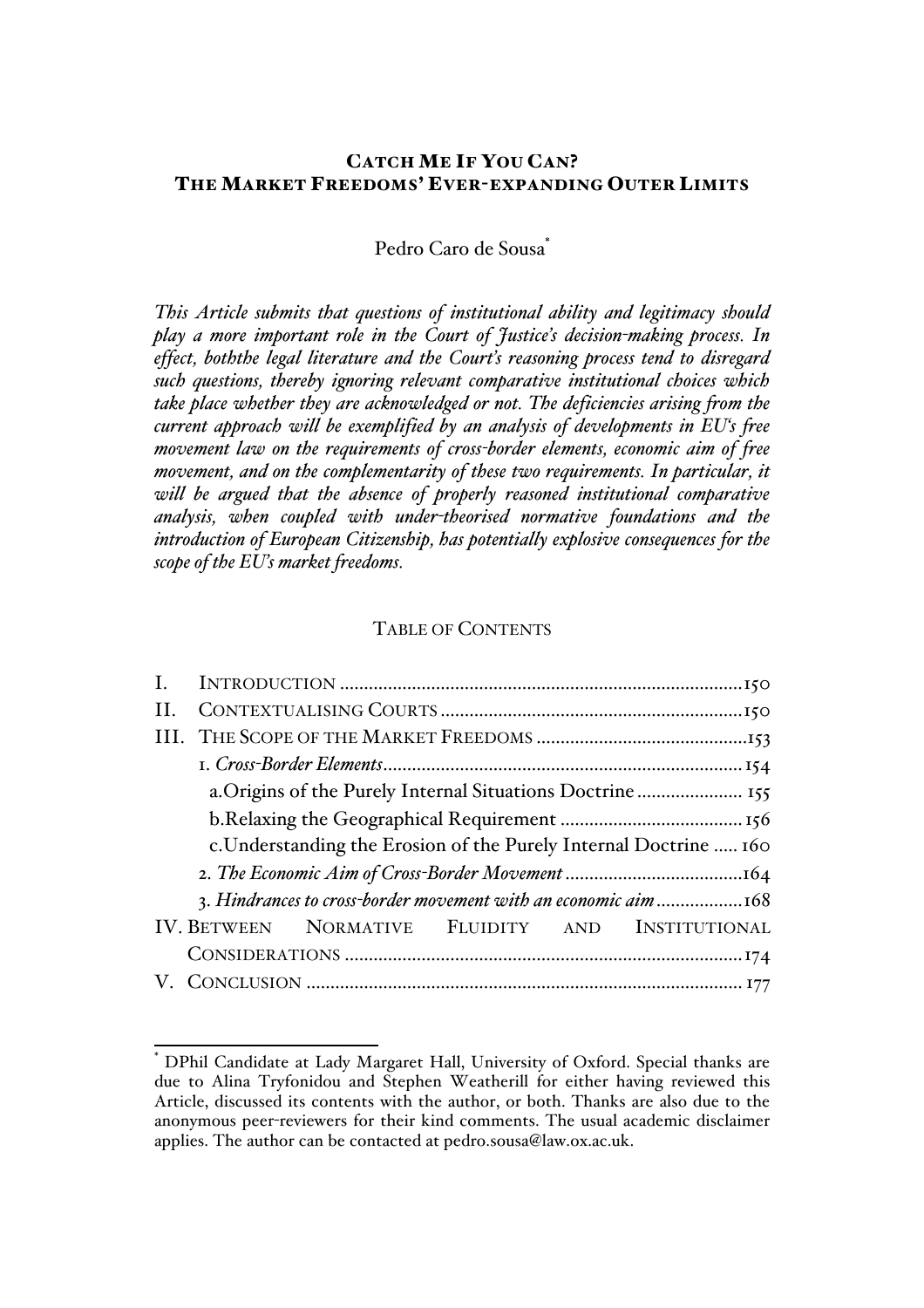# CATCH ME IF YOU CAN? THE MARKET FREEDOMS' EVER-EXPANDING OUTER LIMITS

Pedro Caro de Sousa<sup>\*</sup>

*This Article submits that questions of institutional ability and legitimacy should play a more important role in the Court of Justice's decision-making process. In effect, boththe legal literature and the Court's reasoning process tend to disregard such questions, thereby ignoring relevant comparative institutional choices which take place whether they are acknowledged or not. The deficiencies arising from the current approach will be exemplified by an analysis of developments in EU's free movement law on the requirements of cross-border elements, economic aim of free movement, and on the complementarity of these two requirements. In particular, it*  will be argued that the absence of properly reasoned institutional comparative *analysis, when coupled with under-theorised normative foundations and the introduction of European Citizenship, has potentially explosive consequences for the scope of the EU's market freedoms.*

# TABLE OF CONTENTS

| $\prod$ .                                                       |                                                                   |  |  |  |  |
|-----------------------------------------------------------------|-------------------------------------------------------------------|--|--|--|--|
|                                                                 |                                                                   |  |  |  |  |
|                                                                 |                                                                   |  |  |  |  |
|                                                                 |                                                                   |  |  |  |  |
|                                                                 |                                                                   |  |  |  |  |
|                                                                 | c. Understanding the Erosion of the Purely Internal Doctrine  160 |  |  |  |  |
|                                                                 |                                                                   |  |  |  |  |
| 3. Hindrances to cross-border movement with an economic aim 168 |                                                                   |  |  |  |  |
|                                                                 | IV. BETWEEN NORMATIVE FLUIDITY AND INSTITUTIONAL                  |  |  |  |  |
|                                                                 |                                                                   |  |  |  |  |
|                                                                 |                                                                   |  |  |  |  |

 <sup>\*</sup> DPhil Candidate at Lady Margaret Hall, University of Oxford. Special thanks are due to Alina Tryfonidou and Stephen Weatherill for either having reviewed this Article, discussed its contents with the author, or both. Thanks are also due to the anonymous peer-reviewers for their kind comments. The usual academic disclaimer applies. The author can be contacted at pedro.sousa@law.ox.ac.uk.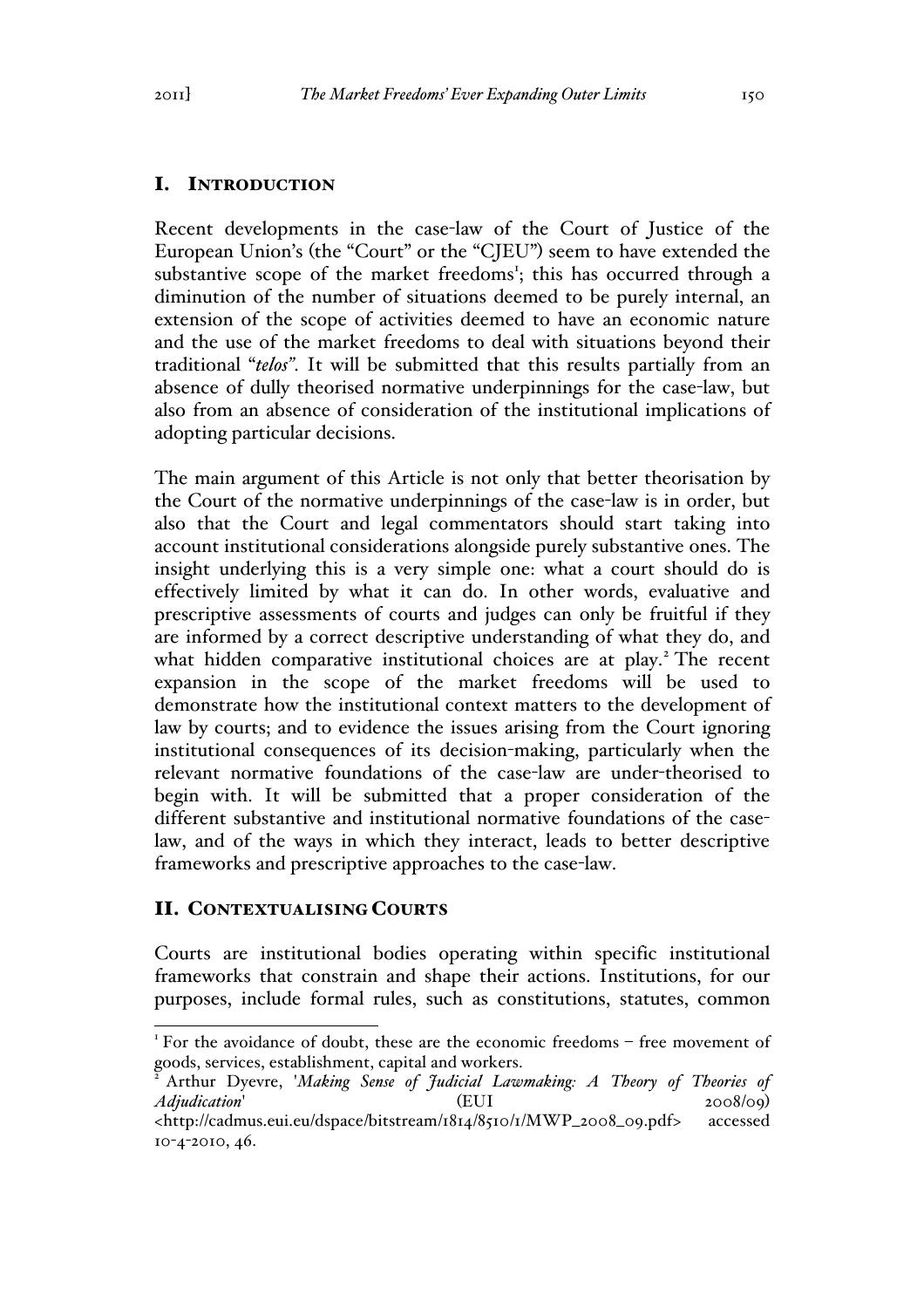# I. INTRODUCTION

Recent developments in the case-law of the Court of Justice of the European Union's (the "Court" or the "CJEU") seem to have extended the substantive scope of the market freedoms<sup>1</sup>; this has occurred through a diminution of the number of situations deemed to be purely internal, an extension of the scope of activities deemed to have an economic nature and the use of the market freedoms to deal with situations beyond their traditional "*telos"*. It will be submitted that this results partially from an absence of dully theorised normative underpinnings for the case-law, but also from an absence of consideration of the institutional implications of adopting particular decisions.

The main argument of this Article is not only that better theorisation by the Court of the normative underpinnings of the case-law is in order, but also that the Court and legal commentators should start taking into account institutional considerations alongside purely substantive ones. The insight underlying this is a very simple one: what a court should do is effectively limited by what it can do. In other words, evaluative and prescriptive assessments of courts and judges can only be fruitful if they are informed by a correct descriptive understanding of what they do, and what hidden comparative institutional choices are at play.<sup>2</sup> The recent expansion in the scope of the market freedoms will be used to demonstrate how the institutional context matters to the development of law by courts; and to evidence the issues arising from the Court ignoring institutional consequences of its decision-making, particularly when the relevant normative foundations of the case-law are under-theorised to begin with. It will be submitted that a proper consideration of the different substantive and institutional normative foundations of the caselaw, and of the ways in which they interact, leads to better descriptive frameworks and prescriptive approaches to the case-law.

### II. CONTEXTUALISING COURTS

Courts are institutional bodies operating within specific institutional frameworks that constrain and shape their actions. Institutions, for our purposes, include formal rules, such as constitutions, statutes, common

<sup>&</sup>lt;sup>1</sup> For the avoidance of doubt, these are the economic freedoms – free movement of goods, services, establishment, capital and workers.

<sup>2</sup> Arthur Dyevre, '*Making Sense of Judicial Lawmaking: A Theory of Theories of Adjudication*' (EUI 2008/09) <http://cadmus.eui.eu/dspace/bitstream/1814/8510/1/MWP\_2008\_09.pdf> accessed

<sup>10</sup>-4-2010, 46.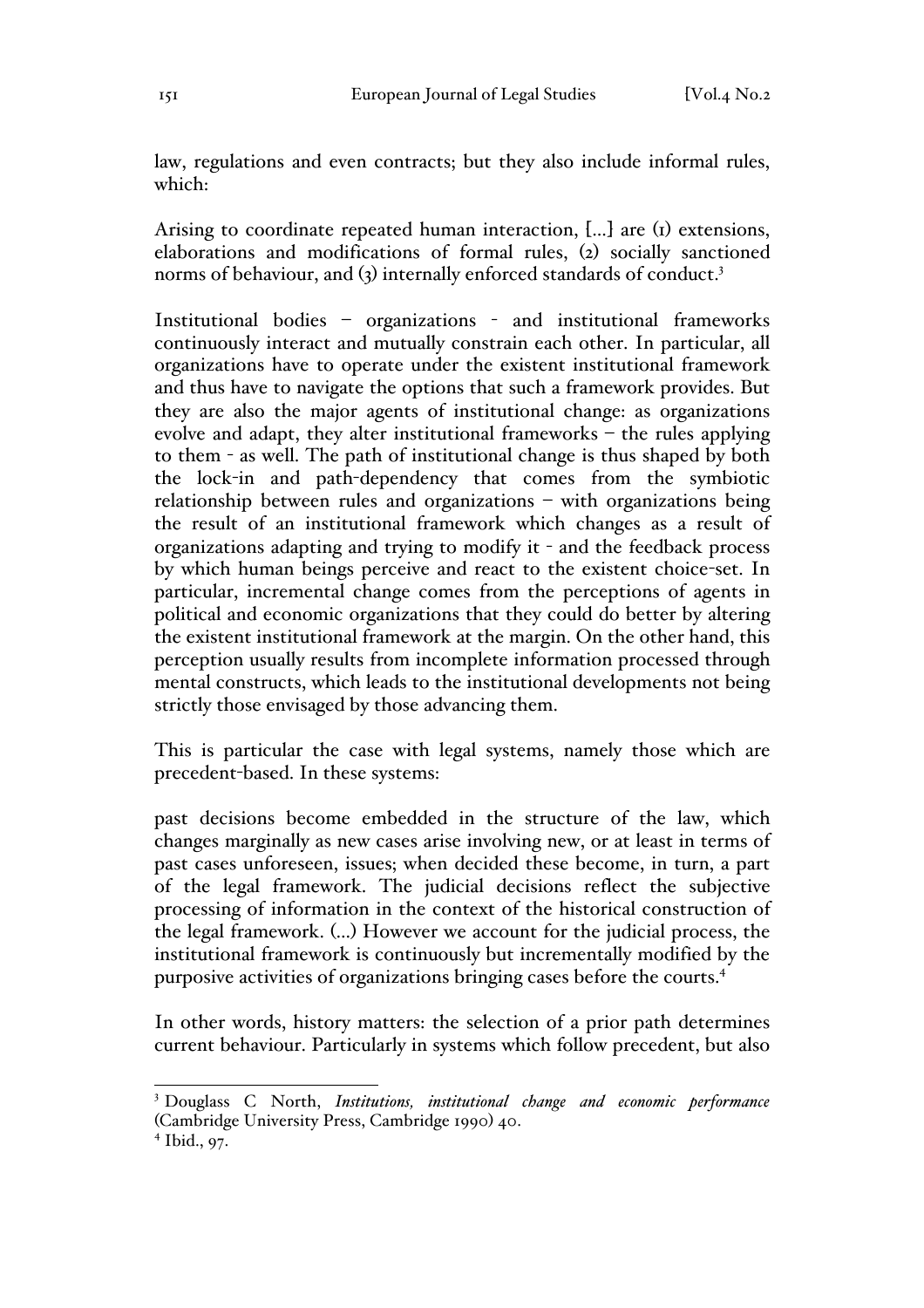law, regulations and even contracts; but they also include informal rules, which:

Arising to coordinate repeated human interaction, […] are (1) extensions, elaborations and modifications of formal rules, (2) socially sanctioned norms of behaviour, and (3) internally enforced standards of conduct.<sup>3</sup>

Institutional bodies – organizations - and institutional frameworks continuously interact and mutually constrain each other. In particular, all organizations have to operate under the existent institutional framework and thus have to navigate the options that such a framework provides. But they are also the major agents of institutional change: as organizations evolve and adapt, they alter institutional frameworks – the rules applying to them - as well. The path of institutional change is thus shaped by both the lock-in and path-dependency that comes from the symbiotic relationship between rules and organizations – with organizations being the result of an institutional framework which changes as a result of organizations adapting and trying to modify it - and the feedback process by which human beings perceive and react to the existent choice-set. In particular, incremental change comes from the perceptions of agents in political and economic organizations that they could do better by altering the existent institutional framework at the margin. On the other hand, this perception usually results from incomplete information processed through mental constructs, which leads to the institutional developments not being strictly those envisaged by those advancing them.

This is particular the case with legal systems, namely those which are precedent-based. In these systems:

past decisions become embedded in the structure of the law, which changes marginally as new cases arise involving new, or at least in terms of past cases unforeseen, issues; when decided these become, in turn, a part of the legal framework. The judicial decisions reflect the subjective processing of information in the context of the historical construction of the legal framework. (…) However we account for the judicial process, the institutional framework is continuously but incrementally modified by the purposive activities of organizations bringing cases before the courts.4

In other words, history matters: the selection of a prior path determines current behaviour. Particularly in systems which follow precedent, but also

 <sup>3</sup> Douglass C North, *Institutions, institutional change and economic performance* (Cambridge University Press, Cambridge 1990) 40.

<sup>4</sup> Ibid., 97.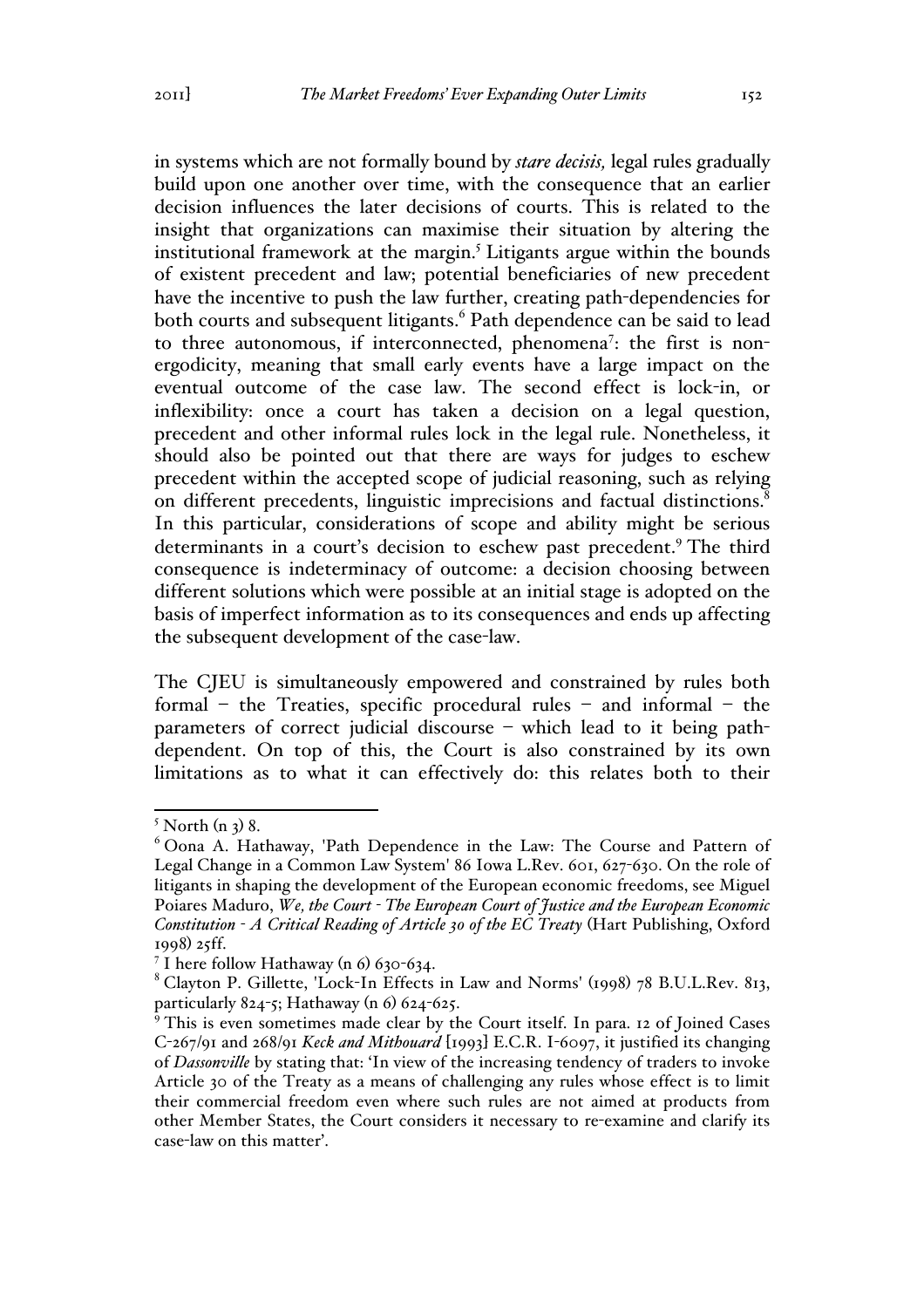in systems which are not formally bound by *stare decisis,* legal rules gradually build upon one another over time, with the consequence that an earlier decision influences the later decisions of courts. This is related to the insight that organizations can maximise their situation by altering the institutional framework at the margin.<sup>5</sup> Litigants argue within the bounds of existent precedent and law; potential beneficiaries of new precedent have the incentive to push the law further, creating path-dependencies for both courts and subsequent litigants.<sup>6</sup> Path dependence can be said to lead to three autonomous, if interconnected, phenomena<sup>7</sup>: the first is nonergodicity, meaning that small early events have a large impact on the eventual outcome of the case law. The second effect is lock-in, or inflexibility: once a court has taken a decision on a legal question, precedent and other informal rules lock in the legal rule. Nonetheless, it should also be pointed out that there are ways for judges to eschew precedent within the accepted scope of judicial reasoning, such as relying on different precedents, linguistic imprecisions and factual distinctions.<sup>8</sup> In this particular, considerations of scope and ability might be serious determinants in a court's decision to eschew past precedent.<sup>9</sup> The third consequence is indeterminacy of outcome: a decision choosing between different solutions which were possible at an initial stage is adopted on the basis of imperfect information as to its consequences and ends up affecting the subsequent development of the case-law.

The CJEU is simultaneously empowered and constrained by rules both formal – the Treaties, specific procedural rules – and informal – the parameters of correct judicial discourse – which lead to it being pathdependent. On top of this, the Court is also constrained by its own limitations as to what it can effectively do: this relates both to their

 $<sup>5</sup>$  North (n 3) 8.</sup>

<sup>6</sup> Oona A. Hathaway, 'Path Dependence in the Law: The Course and Pattern of Legal Change in a Common Law System' 86 Iowa L.Rev. 601, 627-630. On the role of litigants in shaping the development of the European economic freedoms, see Miguel Poiares Maduro, *We, the Court - The European Court of Justice and the European Economic Constitution - A Critical Reading of Article 30 of the EC Treaty* (Hart Publishing, Oxford 1998) 25ff.

<sup>&</sup>lt;sup>7</sup> I here follow Hathaway (n 6) 630-634.

<sup>8</sup> Clayton P. Gillette, 'Lock-In Effects in Law and Norms' (1998) 78 B.U.L.Rev. 813, particularly 824-5; Hathaway (n 6) 624-625.

<sup>&</sup>lt;sup>9</sup> This is even sometimes made clear by the Court itself. In para. 12 of Joined Cases C-267/91 and 268/91 *Keck and Mithouard* [1993] E.C.R. I-6097, it justified its changing of *Dassonville* by stating that: 'In view of the increasing tendency of traders to invoke Article 30 of the Treaty as a means of challenging any rules whose effect is to limit their commercial freedom even where such rules are not aimed at products from other Member States, the Court considers it necessary to re-examine and clarify its case-law on this matter'.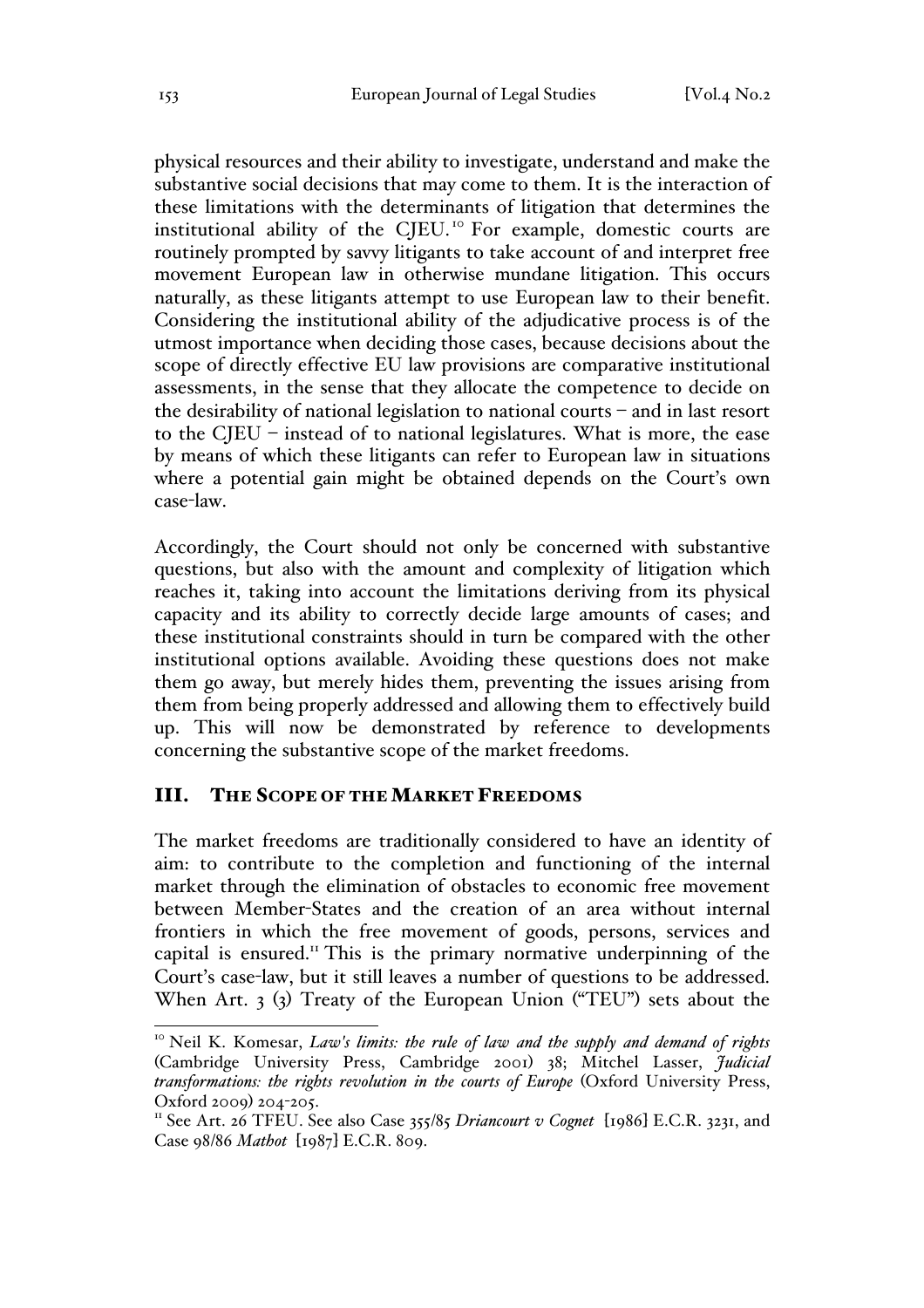physical resources and their ability to investigate, understand and make the substantive social decisions that may come to them. It is the interaction of these limitations with the determinants of litigation that determines the institutional ability of the CJEU.<sup>10</sup> For example, domestic courts are routinely prompted by savvy litigants to take account of and interpret free movement European law in otherwise mundane litigation. This occurs naturally, as these litigants attempt to use European law to their benefit. Considering the institutional ability of the adjudicative process is of the utmost importance when deciding those cases, because decisions about the scope of directly effective EU law provisions are comparative institutional assessments, in the sense that they allocate the competence to decide on the desirability of national legislation to national courts – and in last resort to the CJEU – instead of to national legislatures. What is more, the ease by means of which these litigants can refer to European law in situations where a potential gain might be obtained depends on the Court's own case-law.

Accordingly, the Court should not only be concerned with substantive questions, but also with the amount and complexity of litigation which reaches it, taking into account the limitations deriving from its physical capacity and its ability to correctly decide large amounts of cases; and these institutional constraints should in turn be compared with the other institutional options available. Avoiding these questions does not make them go away, but merely hides them, preventing the issues arising from them from being properly addressed and allowing them to effectively build up. This will now be demonstrated by reference to developments concerning the substantive scope of the market freedoms.

#### III. THE SCOPE OF THE MARKET FREEDOMS

The market freedoms are traditionally considered to have an identity of aim: to contribute to the completion and functioning of the internal market through the elimination of obstacles to economic free movement between Member-States and the creation of an area without internal frontiers in which the free movement of goods, persons, services and capital is ensured.<sup>11</sup> This is the primary normative underpinning of the Court's case-law, but it still leaves a number of questions to be addressed. When Art. 3 (3) Treaty of the European Union ("TEU") sets about the

<sup>&</sup>lt;sup>10</sup> Neil K. Komesar, *Law's limits: the rule of law and the supply and demand of rights* (Cambridge University Press, Cambridge 2001) 38; Mitchel Lasser, *Judicial transformations: the rights revolution in the courts of Europe* (Oxford University Press, Oxford 2009) 204-205.<br><sup>11</sup> See Art. 26 TFEU. See also Case 355/85 *Driancourt v Cognet* [1986] E.C.R. 3231, and

Case 98/86 *Mathot* [1987] E.C.R. 809.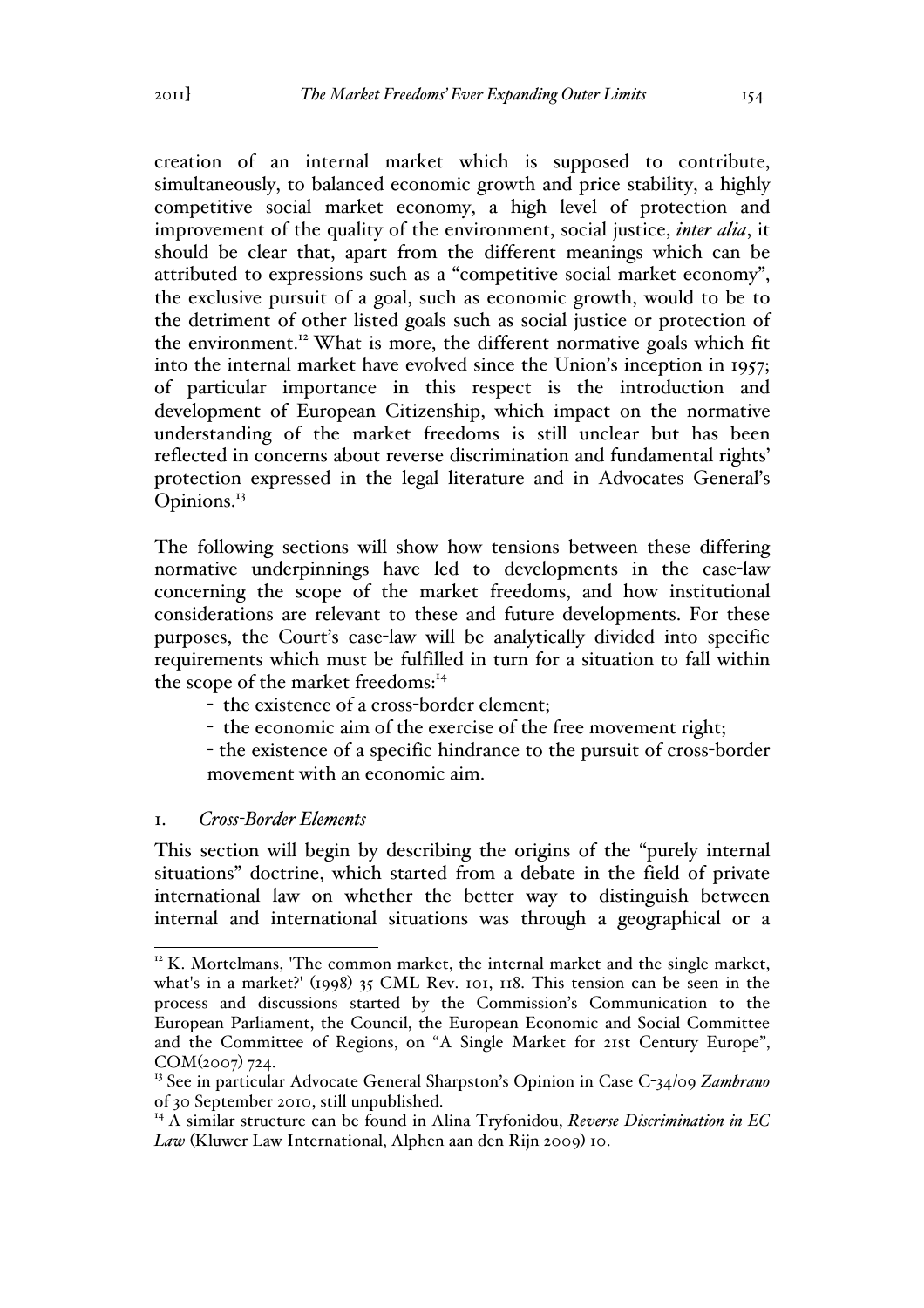creation of an internal market which is supposed to contribute, simultaneously, to balanced economic growth and price stability, a highly competitive social market economy, a high level of protection and improvement of the quality of the environment, social justice, *inter alia*, it should be clear that, apart from the different meanings which can be attributed to expressions such as a "competitive social market economy", the exclusive pursuit of a goal, such as economic growth, would to be to the detriment of other listed goals such as social justice or protection of the environment.<sup>12</sup> What is more, the different normative goals which fit into the internal market have evolved since the Union's inception in 1957; of particular importance in this respect is the introduction and development of European Citizenship, which impact on the normative understanding of the market freedoms is still unclear but has been reflected in concerns about reverse discrimination and fundamental rights' protection expressed in the legal literature and in Advocates General's Opinions.<sup>13</sup>

The following sections will show how tensions between these differing normative underpinnings have led to developments in the case-law concerning the scope of the market freedoms, and how institutional considerations are relevant to these and future developments. For these purposes, the Court's case-law will be analytically divided into specific requirements which must be fulfilled in turn for a situation to fall within the scope of the market freedoms:<sup>14</sup>

- the existence of a cross-border element;
- the economic aim of the exercise of the free movement right;
- the existence of a specific hindrance to the pursuit of cross-border movement with an economic aim.

#### 1. *Cross-Border Elements*

This section will begin by describing the origins of the "purely internal situations" doctrine, which started from a debate in the field of private international law on whether the better way to distinguish between internal and international situations was through a geographical or a

 $12$  K. Mortelmans, 'The common market, the internal market and the single market, what's in a market?' (1998) 35 CML Rev. 101, 118. This tension can be seen in the process and discussions started by the Commission's Communication to the European Parliament, the Council, the European Economic and Social Committee and the Committee of Regions, on "A Single Market for 21st Century Europe", COM(2007) 724.

<sup>13</sup> See in particular Advocate General Sharpston's Opinion in Case C-34/09 *Zambrano*  of 30 September 2010, still unpublished.

<sup>&</sup>lt;sup>14</sup> A similar structure can be found in Alina Tryfonidou, *Reverse Discrimination in EC Law* (Kluwer Law International, Alphen aan den Rijn 2009) 10.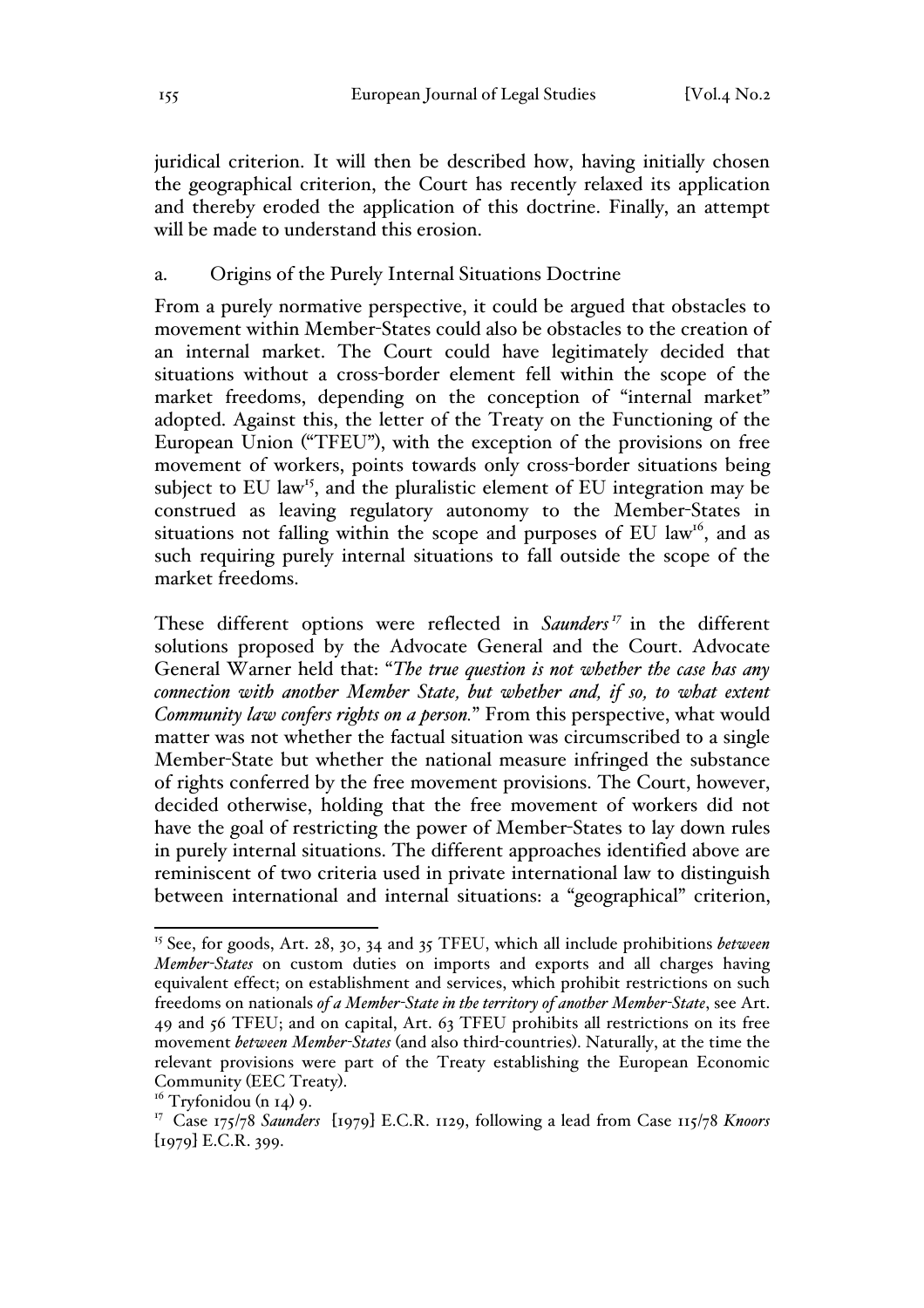juridical criterion. It will then be described how, having initially chosen the geographical criterion, the Court has recently relaxed its application and thereby eroded the application of this doctrine. Finally, an attempt will be made to understand this erosion.

#### a. Origins of the Purely Internal Situations Doctrine

From a purely normative perspective, it could be argued that obstacles to movement within Member-States could also be obstacles to the creation of an internal market. The Court could have legitimately decided that situations without a cross-border element fell within the scope of the market freedoms, depending on the conception of "internal market" adopted. Against this, the letter of the Treaty on the Functioning of the European Union ("TFEU"), with the exception of the provisions on free movement of workers, points towards only cross-border situations being subject to EU law<sup>15</sup>, and the pluralistic element of EU integration may be construed as leaving regulatory autonomy to the Member-States in situations not falling within the scope and purposes of EU law<sup>16</sup>, and as such requiring purely internal situations to fall outside the scope of the market freedoms.

These different options were reflected in *Saunders<sup>17</sup>* in the different solutions proposed by the Advocate General and the Court. Advocate General Warner held that: "*The true question is not whether the case has any connection with another Member State, but whether and, if so, to what extent Community law confers rights on a person.*" From this perspective, what would matter was not whether the factual situation was circumscribed to a single Member-State but whether the national measure infringed the substance of rights conferred by the free movement provisions. The Court, however, decided otherwise, holding that the free movement of workers did not have the goal of restricting the power of Member-States to lay down rules in purely internal situations. The different approaches identified above are reminiscent of two criteria used in private international law to distinguish between international and internal situations: a "geographical" criterion,

 <sup>15</sup> See, for goods, Art. 28, 30, 34 and 35 TFEU, which all include prohibitions *between Member-States* on custom duties on imports and exports and all charges having equivalent effect; on establishment and services, which prohibit restrictions on such freedoms on nationals *of a Member-State in the territory of another Member-State*, see Art. 49 and 56 TFEU; and on capital, Art. 63 TFEU prohibits all restrictions on its free movement *between Member-States* (and also third-countries). Naturally, at the time the relevant provisions were part of the Treaty establishing the European Economic Community (EEC Treaty). 16 Tryfonidou (n 14) 9.

<sup>&</sup>lt;sup>17</sup> Case 175/78 *Saunders* [1979] E.C.R. 1129, following a lead from Case 115/78 *Knoors*  $[1979]$  E.C.R. 399.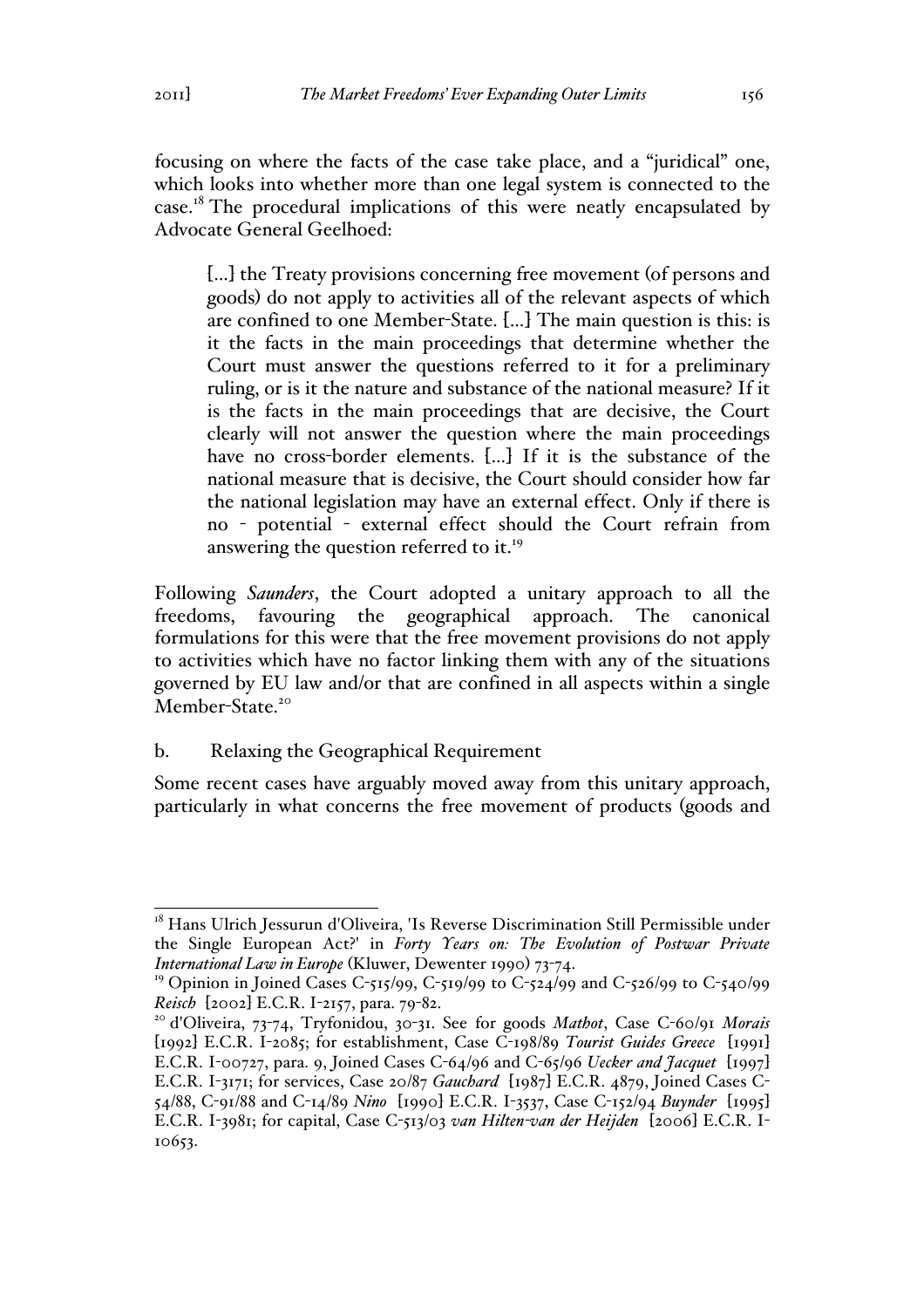focusing on where the facts of the case take place, and a "juridical" one, which looks into whether more than one legal system is connected to the case.<sup>18</sup> The procedural implications of this were neatly encapsulated by Advocate General Geelhoed:

[…] the Treaty provisions concerning free movement (of persons and goods) do not apply to activities all of the relevant aspects of which are confined to one Member-State. […] The main question is this: is it the facts in the main proceedings that determine whether the Court must answer the questions referred to it for a preliminary ruling, or is it the nature and substance of the national measure? If it is the facts in the main proceedings that are decisive, the Court clearly will not answer the question where the main proceedings have no cross-border elements. [...] If it is the substance of the national measure that is decisive, the Court should consider how far the national legislation may have an external effect. Only if there is no - potential - external effect should the Court refrain from answering the question referred to it.<sup>19</sup>

Following *Saunders*, the Court adopted a unitary approach to all the freedoms, favouring the geographical approach. The canonical formulations for this were that the free movement provisions do not apply to activities which have no factor linking them with any of the situations governed by EU law and/or that are confined in all aspects within a single Member-State.<sup>20</sup>

### b. Relaxing the Geographical Requirement

Some recent cases have arguably moved away from this unitary approach, particularly in what concerns the free movement of products (goods and

<sup>&</sup>lt;sup>18</sup> Hans Ulrich Jessurun d'Oliveira, 'Is Reverse Discrimination Still Permissible under the Single European Act?' in *Forty Years on: The Evolution of Postwar Private International Law in Europe* (Kluwer, Dewenter 1990) 73-74.

<sup>&</sup>lt;sup>19</sup> Opinion in Joined Cases C-515/99, C-519/99 to C-524/99 and C-526/99 to C-540/99

*Reisch* [2002] E.C.R. I-2157, para. 79-82. <sup>20</sup> d'Oliveira, 73-74, Tryfonidou, 30-31. See for goods *Mathot*, Case C-60/91 *Morais* [1992] E.C.R. I-2085; for establishment, Case C-198/89 *Tourist Guides Greece* [1991] E.C.R. I-00727, para. 9, Joined Cases C-64/96 and C-65/96 *Uecker and Jacquet* [1997] E.C.R. I-3171; for services, Case 20/87 *Gauchard* [1987] E.C.R. 4879, Joined Cases C-54/88, C-91/88 and C-14/89 *Nino* [1990] E.C.R. I-3537, Case C-152/94 *Buynder* [1995] E.C.R. I-3981; for capital, Case C-513/03 *van Hilten-van der Heijden* [2006] E.C.R. I-10653.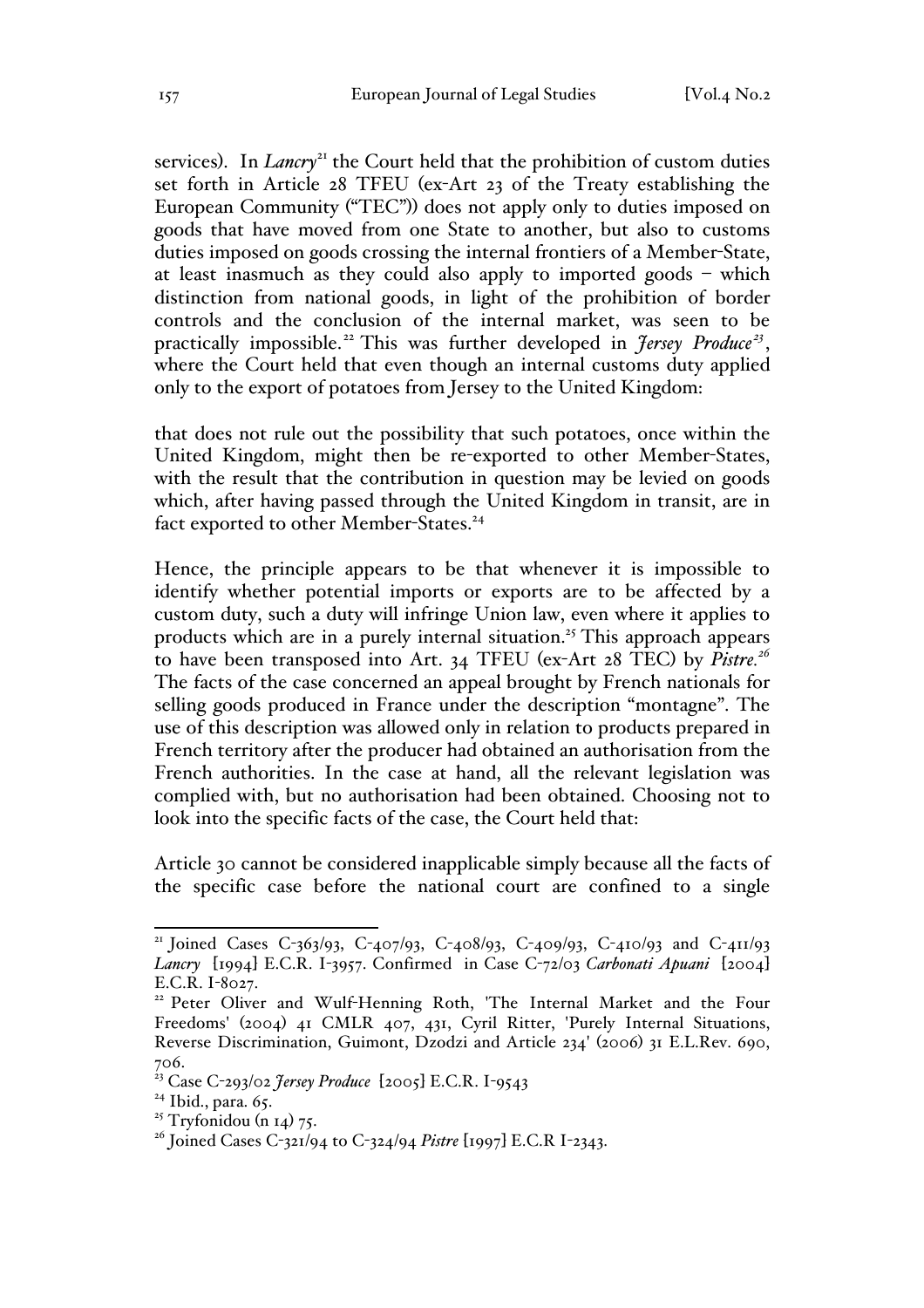services). In *Lancry*<sup>21</sup> the Court held that the prohibition of custom duties set forth in Article 28 TFEU (ex-Art 23 of the Treaty establishing the European Community ("TEC")) does not apply only to duties imposed on goods that have moved from one State to another, but also to customs duties imposed on goods crossing the internal frontiers of a Member-State, at least inasmuch as they could also apply to imported goods – which distinction from national goods, in light of the prohibition of border controls and the conclusion of the internal market, was seen to be practically impossible.<sup>22</sup> This was further developed in *Jersey Produce*<sup>23</sup>, where the Court held that even though an internal customs duty applied only to the export of potatoes from Jersey to the United Kingdom:

that does not rule out the possibility that such potatoes, once within the United Kingdom, might then be re-exported to other Member-States, with the result that the contribution in question may be levied on goods which, after having passed through the United Kingdom in transit, are in fact exported to other Member-States.<sup>24</sup>

Hence, the principle appears to be that whenever it is impossible to identify whether potential imports or exports are to be affected by a custom duty, such a duty will infringe Union law, even where it applies to products which are in a purely internal situation.<sup>25</sup> This approach appears to have been transposed into Art. 34 TFEU (ex-Art 28 TEC) by *Pistre.<sup>26</sup>* The facts of the case concerned an appeal brought by French nationals for selling goods produced in France under the description "montagne". The use of this description was allowed only in relation to products prepared in French territory after the producer had obtained an authorisation from the French authorities. In the case at hand, all the relevant legislation was complied with, but no authorisation had been obtained. Choosing not to look into the specific facts of the case, the Court held that:

Article 30 cannot be considered inapplicable simply because all the facts of the specific case before the national court are confined to a single

<sup>&</sup>lt;sup>21</sup> Joined Cases C-363/93, C-407/93, C-408/93, C-409/93, C-410/93 and C-411/93 *Lancry* [1994] E.C.R. I-3957. Confirmed in Case C-72/03 *Carbonati Apuani* [2004]

<sup>&</sup>lt;sup>22</sup> Peter Oliver and Wulf-Henning Roth, 'The Internal Market and the Four Freedoms' (2004) 41 CMLR 407, 431, Cyril Ritter, 'Purely Internal Situations, Reverse Discrimination, Guimont, Dzodzi and Article 234' (2006) 31 E.L.Rev. 690, 706.

<sup>23</sup> Case C-293/02 *Jersey Produce* [2005] E.C.R. I-9543

 $24$  Ibid., para. 65.

<sup>&</sup>lt;sup>25</sup> Tryfonidou (n 14) 75.

<sup>26</sup> Joined Cases C-321/94 to C-324/94 *Pistre* [1997] E.C.R I-2343.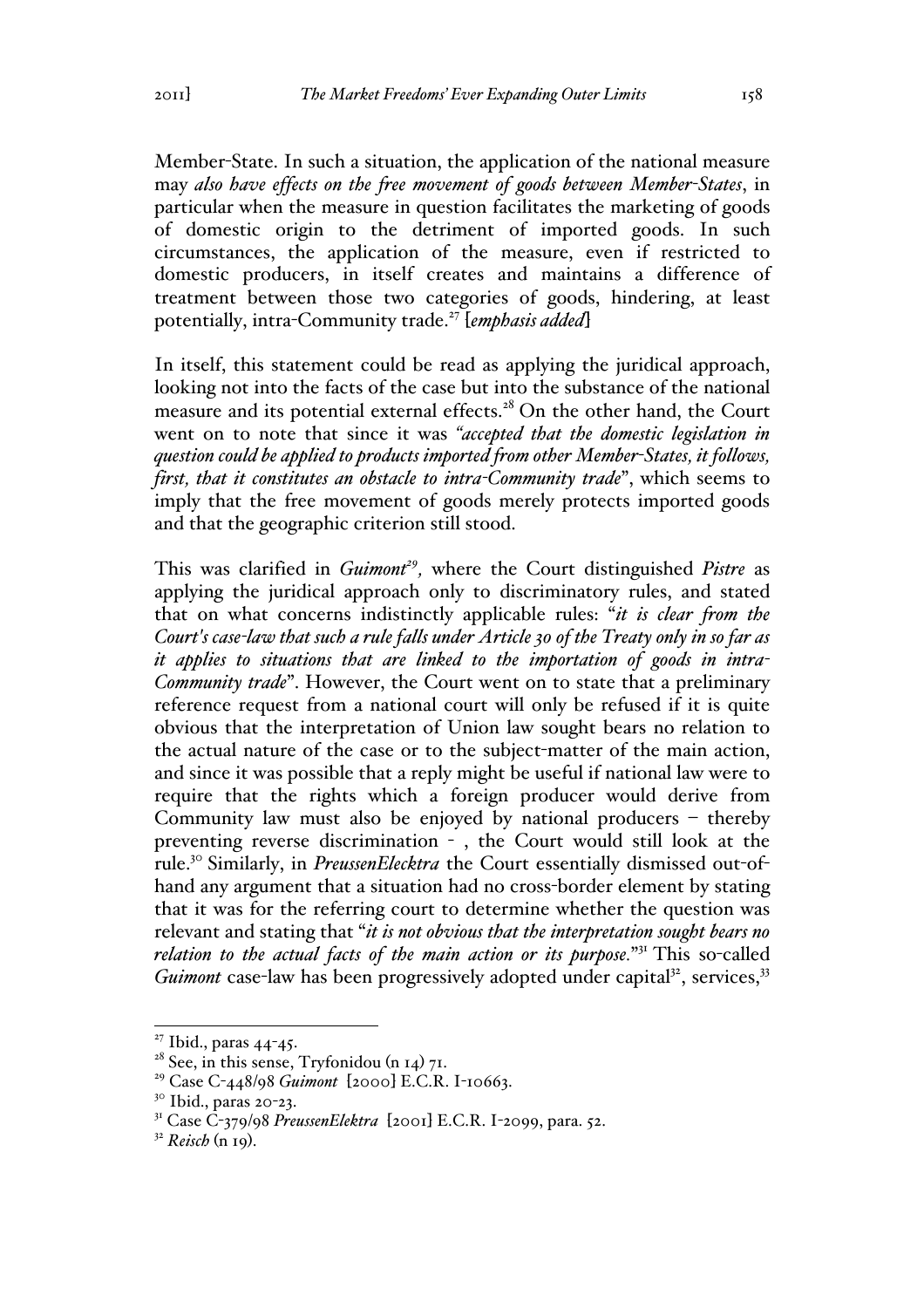Member-State. In such a situation, the application of the national measure may *also have effects on the free movement of goods between Member-States*, in particular when the measure in question facilitates the marketing of goods of domestic origin to the detriment of imported goods. In such circumstances, the application of the measure, even if restricted to domestic producers, in itself creates and maintains a difference of treatment between those two categories of goods, hindering, at least potentially, intra-Community trade.27 [*emphasis added*]

In itself, this statement could be read as applying the juridical approach, looking not into the facts of the case but into the substance of the national measure and its potential external effects.<sup>28</sup> On the other hand, the Court went on to note that since it was *"accepted that the domestic legislation in question could be applied to products imported from other Member-States, it follows, first, that it constitutes an obstacle to intra-Community trade*", which seems to imply that the free movement of goods merely protects imported goods and that the geographic criterion still stood.

This was clarified in *Guimont<sup>29</sup>*, where the Court distinguished *Pistre* as applying the juridical approach only to discriminatory rules, and stated that on what concerns indistinctly applicable rules: "*it is clear from the Court's case-law that such a rule falls under Article 30 of the Treaty only in so far as it applies to situations that are linked to the importation of goods in intra-Community trade*". However, the Court went on to state that a preliminary reference request from a national court will only be refused if it is quite obvious that the interpretation of Union law sought bears no relation to the actual nature of the case or to the subject-matter of the main action, and since it was possible that a reply might be useful if national law were to require that the rights which a foreign producer would derive from Community law must also be enjoyed by national producers – thereby preventing reverse discrimination - , the Court would still look at the rule.30 Similarly, in *PreussenElecktra* the Court essentially dismissed out-ofhand any argument that a situation had no cross-border element by stating that it was for the referring court to determine whether the question was relevant and stating that "*it is not obvious that the interpretation sought bears no*  relation to the actual facts of the main action or its purpose."<sup>31</sup> This so-called *Guimont* case-law has been progressively adopted under capital<sup>32</sup>, services,<sup>33</sup>

 $27$  Ibid., paras 44-45.

<sup>&</sup>lt;sup>28</sup> See, in this sense, Tryfonidou (n 14) 71.

<sup>29</sup> Case C-448/98 *Guimont* [2000] E.C.R. I-10663.

 $30$  Ibid., paras 20-23.

<sup>31</sup> Case C-379/98 *PreussenElektra* [2001] E.C.R. I-2099, para. 52.

<sup>32</sup> *Reisch* (n 19).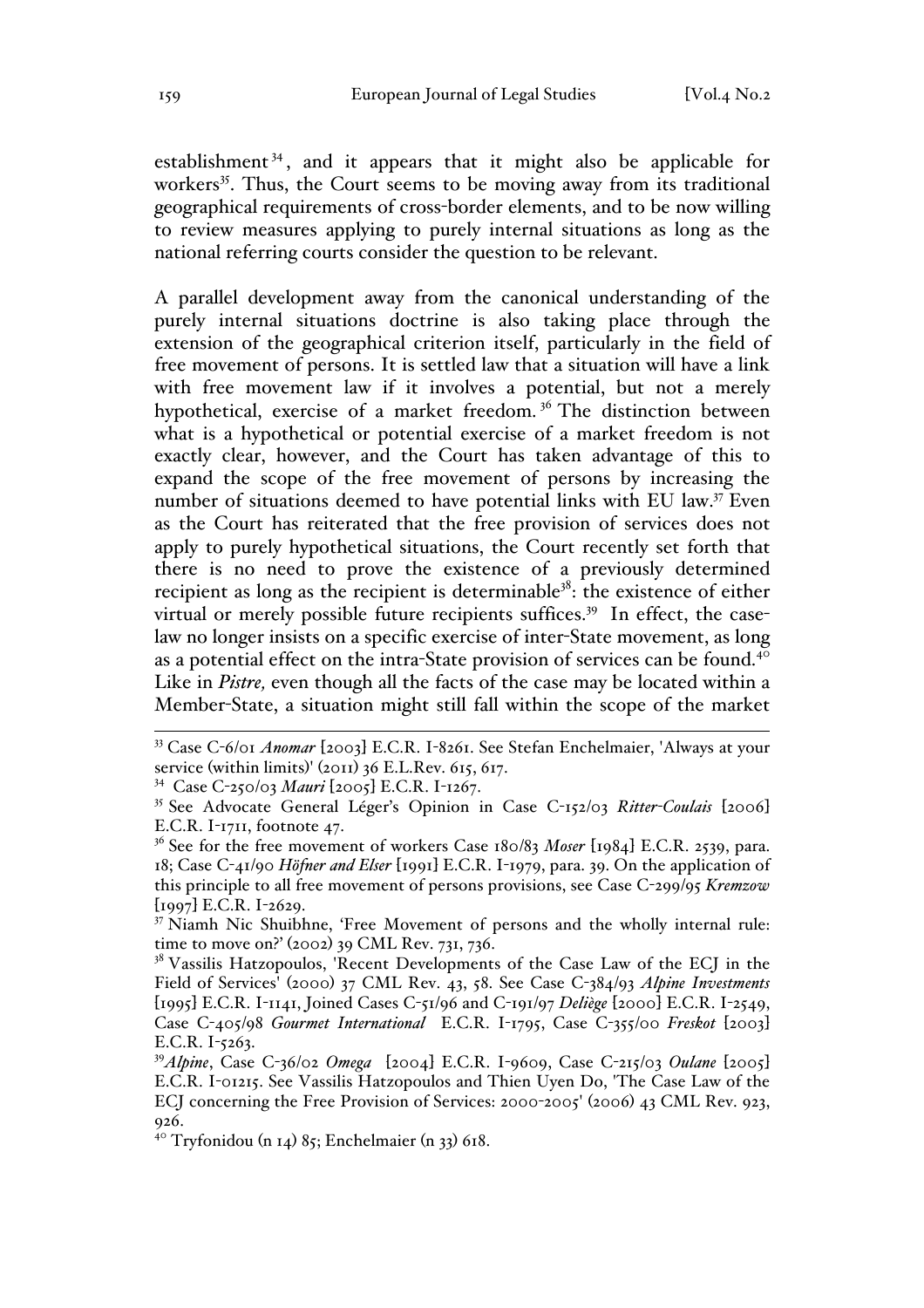establishment<sup>34</sup>, and it appears that it might also be applicable for workers<sup>35</sup>. Thus, the Court seems to be moving away from its traditional geographical requirements of cross-border elements, and to be now willing to review measures applying to purely internal situations as long as the national referring courts consider the question to be relevant.

A parallel development away from the canonical understanding of the purely internal situations doctrine is also taking place through the extension of the geographical criterion itself, particularly in the field of free movement of persons. It is settled law that a situation will have a link with free movement law if it involves a potential, but not a merely hypothetical, exercise of a market freedom. <sup>36</sup> The distinction between what is a hypothetical or potential exercise of a market freedom is not exactly clear, however, and the Court has taken advantage of this to expand the scope of the free movement of persons by increasing the number of situations deemed to have potential links with EU law.37 Even as the Court has reiterated that the free provision of services does not apply to purely hypothetical situations, the Court recently set forth that there is no need to prove the existence of a previously determined recipient as long as the recipient is determinable<sup>38</sup>: the existence of either virtual or merely possible future recipients suffices.<sup>39</sup> In effect, the caselaw no longer insists on a specific exercise of inter-State movement, as long as a potential effect on the intra-State provision of services can be found.<sup>40</sup> Like in *Pistre*, even though all the facts of the case may be located within a Member-State, a situation might still fall within the scope of the market

34 Case C-250/03 *Mauri* [2005] E.C.R. I-1267.

 <sup>33</sup> Case C-6/01 *Anomar* [2003] E.C.R. I-8261. See Stefan Enchelmaier, 'Always at your service (within limits)' (2011) 36 E.L.Rev. 615, 617.

<sup>35</sup> See Advocate General Léger's Opinion in Case C-152/03 *Ritter-Coulais* [2006] E.C.R. I-1711, footnote 47.

<sup>&</sup>lt;sup>36</sup> See for the free movement of workers Case 180/83 *Moser* [1984] E.C.R. 2539, para. 18; Case C-41/90 *Höfner and Elser* [1991] E.C.R. I-1979, para. 39. On the application of this principle to all free movement of persons provisions, see Case C-299/95 *Kremzow* [1997] E.C.R. I-2629.

<sup>&</sup>lt;sup>37</sup> Niamh Nic Shuibhne, 'Free Movement of persons and the wholly internal rule: time to move on?' (2002) 39 CML Rev. 731, 736.

<sup>&</sup>lt;sup>38</sup> Vassilis Hatzopoulos, 'Recent Developments of the Case Law of the ECJ in the Field of Services' (2000) 37 CML Rev. 43, 58. See Case C-384/93 *Alpine Investments* [1995] E.C.R. I-1141, Joined Cases C-51/96 and C-191/97 *Deliège* [2000] E.C.R. I-2549, Case C-405/98 *Gourmet International* E.C.R. I-1795, Case C-355/00 *Freskot* [2003] E.C.R. I-5263.

<sup>39</sup>*Alpine*, Case C-36/02 *Omega* [2004] E.C.R. I-9609, Case C-215/03 *Oulane* [2005] E.C.R. I-01215. See Vassilis Hatzopoulos and Thien Uyen Do, 'The Case Law of the ECJ concerning the Free Provision of Services: 2000-2005' (2006) 43 CML Rev. 923, 926.

 $40$  Tryfonidou (n 14) 85; Enchelmaier (n 33) 618.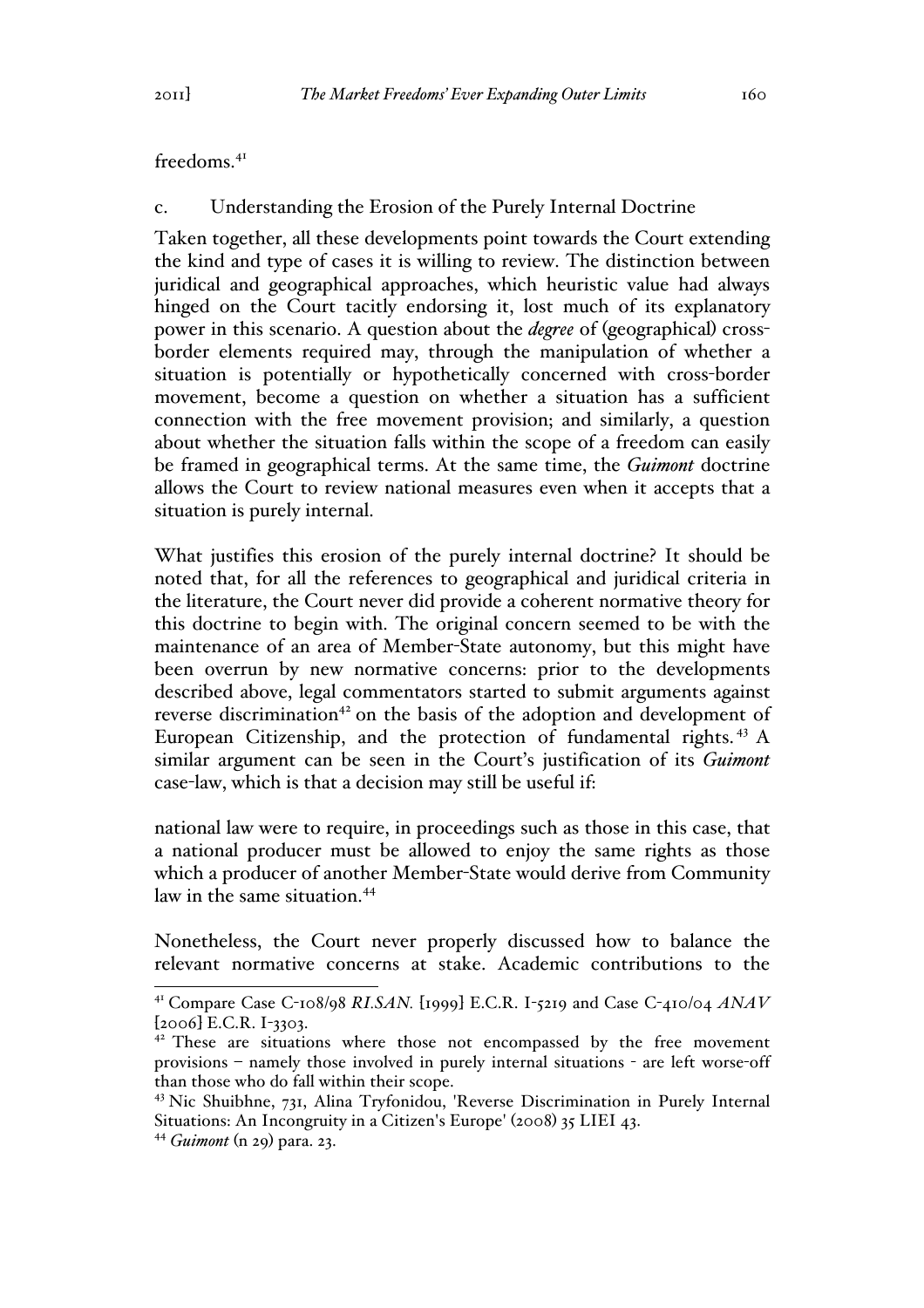### freedoms.<sup>41</sup>

### c. Understanding the Erosion of the Purely Internal Doctrine

Taken together, all these developments point towards the Court extending the kind and type of cases it is willing to review. The distinction between juridical and geographical approaches, which heuristic value had always hinged on the Court tacitly endorsing it, lost much of its explanatory power in this scenario. A question about the *degree* of (geographical) crossborder elements required may, through the manipulation of whether a situation is potentially or hypothetically concerned with cross-border movement, become a question on whether a situation has a sufficient connection with the free movement provision; and similarly, a question about whether the situation falls within the scope of a freedom can easily be framed in geographical terms. At the same time, the *Guimont* doctrine allows the Court to review national measures even when it accepts that a situation is purely internal.

What justifies this erosion of the purely internal doctrine? It should be noted that, for all the references to geographical and juridical criteria in the literature, the Court never did provide a coherent normative theory for this doctrine to begin with. The original concern seemed to be with the maintenance of an area of Member-State autonomy, but this might have been overrun by new normative concerns: prior to the developments described above, legal commentators started to submit arguments against reverse discrimination<sup>42</sup> on the basis of the adoption and development of European Citizenship, and the protection of fundamental rights.<sup>43</sup> A similar argument can be seen in the Court's justification of its *Guimont*  case-law, which is that a decision may still be useful if:

national law were to require, in proceedings such as those in this case, that a national producer must be allowed to enjoy the same rights as those which a producer of another Member-State would derive from Community law in the same situation.<sup>44</sup>

Nonetheless, the Court never properly discussed how to balance the relevant normative concerns at stake. Academic contributions to the

 <sup>41</sup> Compare Case C-108/98 *RI.SAN.* [1999] E.C.R. I-5219 and Case C-410/04 *ANAV*  $[2006]$  E.C.R. I-3303.

<sup>&</sup>lt;sup>42</sup> These are situations where those not encompassed by the free movement provisions – namely those involved in purely internal situations - are left worse-off than those who do fall within their scope.

<sup>43</sup> Nic Shuibhne, 731, Alina Tryfonidou, 'Reverse Discrimination in Purely Internal Situations: An Incongruity in a Citizen's Europe' (2008) 35 LIEI 43.

<sup>44</sup> *Guimont* (n 29) para. 23.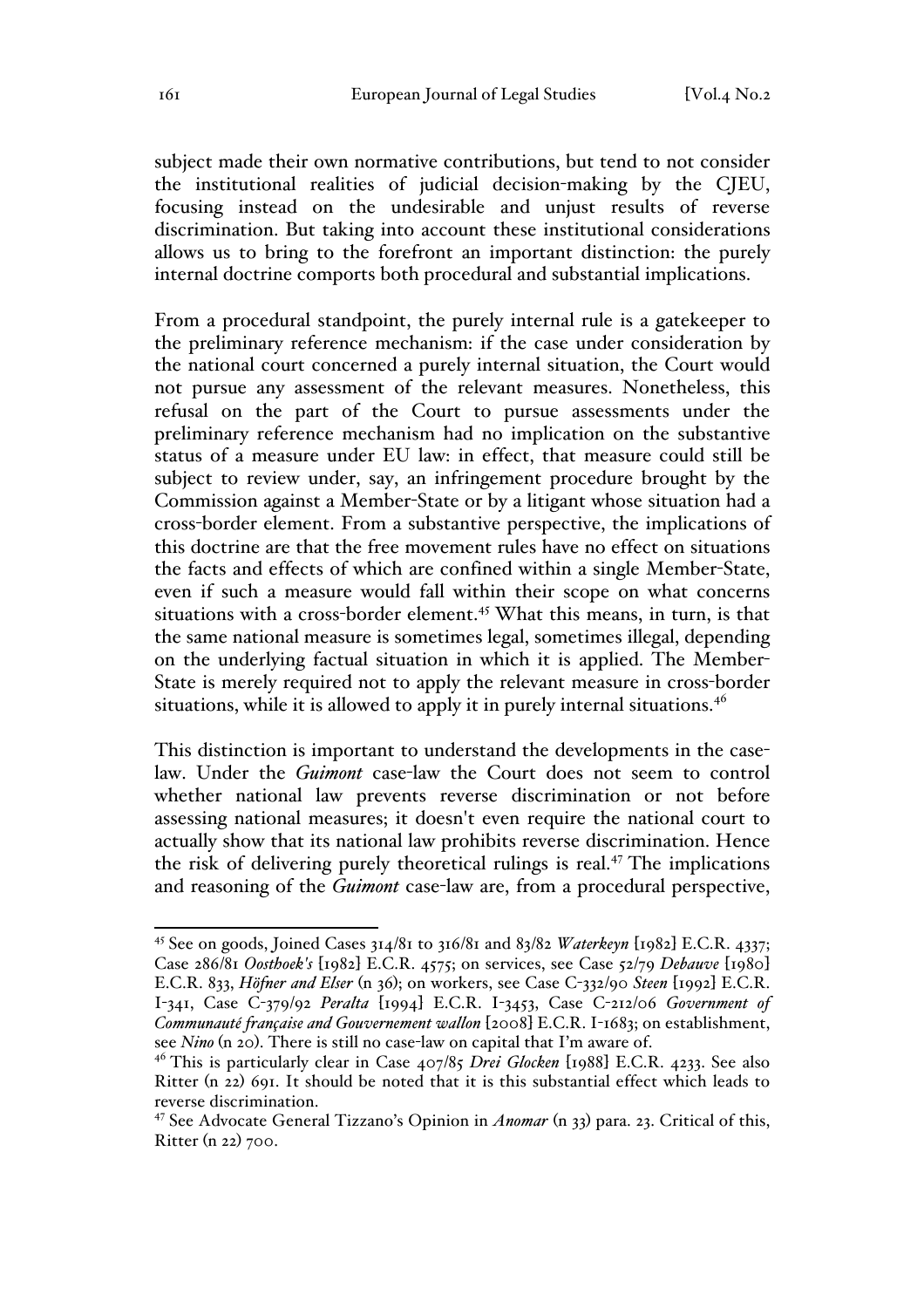subject made their own normative contributions, but tend to not consider the institutional realities of judicial decision-making by the CJEU, focusing instead on the undesirable and unjust results of reverse discrimination. But taking into account these institutional considerations allows us to bring to the forefront an important distinction: the purely internal doctrine comports both procedural and substantial implications.

From a procedural standpoint, the purely internal rule is a gatekeeper to the preliminary reference mechanism: if the case under consideration by the national court concerned a purely internal situation, the Court would not pursue any assessment of the relevant measures. Nonetheless, this refusal on the part of the Court to pursue assessments under the preliminary reference mechanism had no implication on the substantive status of a measure under EU law: in effect, that measure could still be subject to review under, say, an infringement procedure brought by the Commission against a Member-State or by a litigant whose situation had a cross-border element. From a substantive perspective, the implications of this doctrine are that the free movement rules have no effect on situations the facts and effects of which are confined within a single Member-State, even if such a measure would fall within their scope on what concerns situations with a cross-border element.<sup>45</sup> What this means, in turn, is that the same national measure is sometimes legal, sometimes illegal, depending on the underlying factual situation in which it is applied. The Member-State is merely required not to apply the relevant measure in cross-border situations, while it is allowed to apply it in purely internal situations.<sup>46</sup>

This distinction is important to understand the developments in the caselaw. Under the *Guimont* case-law the Court does not seem to control whether national law prevents reverse discrimination or not before assessing national measures; it doesn't even require the national court to actually show that its national law prohibits reverse discrimination. Hence the risk of delivering purely theoretical rulings is real.<sup>47</sup> The implications and reasoning of the *Guimont* case-law are, from a procedural perspective,

 <sup>45</sup> See on goods, Joined Cases 314/81 to 316/81 and 83/82 *Waterkeyn* [1982] E.C.R. 4337; Case 286/81 *Oosthoek's* [1982] E.C.R. 4575; on services, see Case 52/79 *Debauve* [1980] E.C.R. 833, *Höfner and Elser* (n 36); on workers, see Case C-332/90 *Steen* [1992] E.C.R. I-341, Case C-379/92 *Peralta* [1994] E.C.R. I-3453, Case C-212/06 *Government of Communauté française and Gouvernement wallon* [2008] E.C.R. I-1683; on establishment, see *Nino* (n 20). There is still no case-law on capital that I'm aware of.<br><sup>46</sup> This is particularly clear in Case 407/85 *Drei Glocken* [1988] E.C.R. 4233. See also

Ritter (n 22) 691. It should be noted that it is this substantial effect which leads to reverse discrimination.

<sup>47</sup> See Advocate General Tizzano's Opinion in *Anomar* (n 33) para. 23. Critical of this, Ritter (n 22) 700.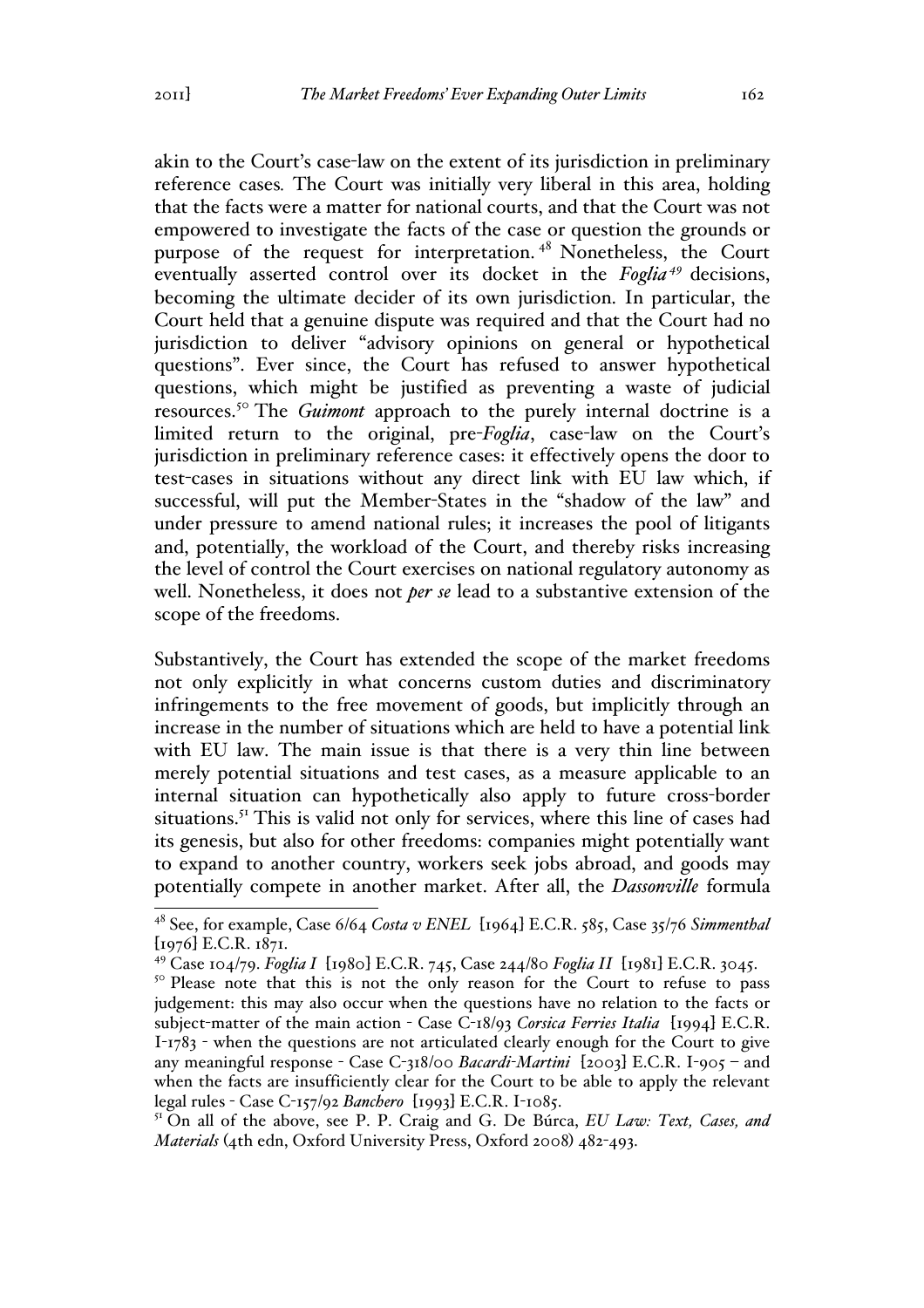akin to the Court's case-law on the extent of its jurisdiction in preliminary reference cases*.* The Court was initially very liberal in this area, holding that the facts were a matter for national courts, and that the Court was not empowered to investigate the facts of the case or question the grounds or purpose of the request for interpretation. <sup>48</sup> Nonetheless, the Court eventually asserted control over its docket in the *Foglia <sup>49</sup>* decisions, becoming the ultimate decider of its own jurisdiction. In particular, the Court held that a genuine dispute was required and that the Court had no jurisdiction to deliver "advisory opinions on general or hypothetical questions". Ever since, the Court has refused to answer hypothetical questions, which might be justified as preventing a waste of judicial resources.<sup>50</sup> The *Guimont* approach to the purely internal doctrine is a limited return to the original, pre-*Foglia*, case-law on the Court's jurisdiction in preliminary reference cases: it effectively opens the door to test-cases in situations without any direct link with EU law which, if successful, will put the Member-States in the "shadow of the law" and under pressure to amend national rules; it increases the pool of litigants and, potentially, the workload of the Court, and thereby risks increasing the level of control the Court exercises on national regulatory autonomy as well. Nonetheless, it does not *per se* lead to a substantive extension of the scope of the freedoms.

Substantively, the Court has extended the scope of the market freedoms not only explicitly in what concerns custom duties and discriminatory infringements to the free movement of goods, but implicitly through an increase in the number of situations which are held to have a potential link with EU law. The main issue is that there is a very thin line between merely potential situations and test cases, as a measure applicable to an internal situation can hypothetically also apply to future cross-border situations.<sup>51</sup> This is valid not only for services, where this line of cases had its genesis, but also for other freedoms: companies might potentially want to expand to another country, workers seek jobs abroad, and goods may potentially compete in another market. After all, the *Dassonville* formula

<sup>51</sup> On all of the above, see P. P. Craig and G. De Búrca, *EU Law: Text, Cases, and Materials* (4th edn, Oxford University Press, Oxford 2008) 482-493.

 <sup>48</sup> See, for example, Case 6/64 *Costa v ENEL* [1964] E.C.R. 585, Case 35/76 *Simmenthal* [1976] E.C.R. 1871.

<sup>49</sup> Case 104/79. *Foglia I* [1980] E.C.R. 745, Case 244/80 *Foglia II* [1981] E.C.R. 3045.

<sup>&</sup>lt;sup>50</sup> Please note that this is not the only reason for the Court to refuse to pass judgement: this may also occur when the questions have no relation to the facts or subject-matter of the main action - Case C-18/93 *Corsica Ferries Italia* [1994] E.C.R. I-1783 - when the questions are not articulated clearly enough for the Court to give any meaningful response - Case C-318/00 *Bacardi-Martini* [2003] E.C.R. I-905 – and when the facts are insufficiently clear for the Court to be able to apply the relevant legal rules - Case C-157/92 *Banchero* [1993] E.C.R. I-1085.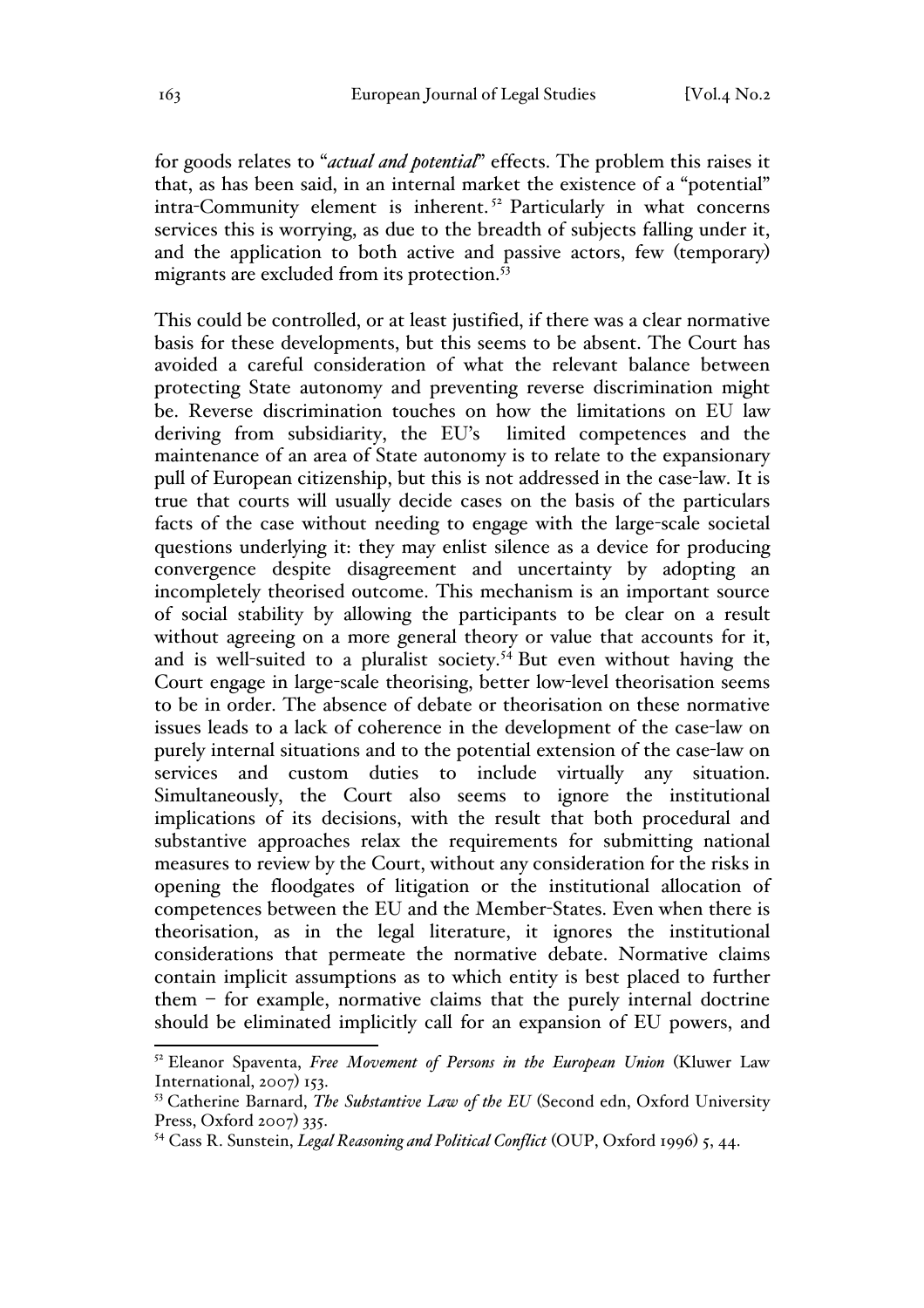for goods relates to "*actual and potential*" effects. The problem this raises it that, as has been said, in an internal market the existence of a "potential" intra-Community element is inherent. <sup>52</sup> Particularly in what concerns services this is worrying, as due to the breadth of subjects falling under it, and the application to both active and passive actors, few (temporary) migrants are excluded from its protection.<sup>53</sup>

This could be controlled, or at least justified, if there was a clear normative basis for these developments, but this seems to be absent. The Court has avoided a careful consideration of what the relevant balance between protecting State autonomy and preventing reverse discrimination might be. Reverse discrimination touches on how the limitations on EU law deriving from subsidiarity, the EU's limited competences and the maintenance of an area of State autonomy is to relate to the expansionary pull of European citizenship, but this is not addressed in the case-law. It is true that courts will usually decide cases on the basis of the particulars facts of the case without needing to engage with the large-scale societal questions underlying it: they may enlist silence as a device for producing convergence despite disagreement and uncertainty by adopting an incompletely theorised outcome. This mechanism is an important source of social stability by allowing the participants to be clear on a result without agreeing on a more general theory or value that accounts for it, and is well-suited to a pluralist society.<sup>54</sup> But even without having the Court engage in large-scale theorising, better low-level theorisation seems to be in order. The absence of debate or theorisation on these normative issues leads to a lack of coherence in the development of the case-law on purely internal situations and to the potential extension of the case-law on services and custom duties to include virtually any situation. Simultaneously, the Court also seems to ignore the institutional implications of its decisions, with the result that both procedural and substantive approaches relax the requirements for submitting national measures to review by the Court, without any consideration for the risks in opening the floodgates of litigation or the institutional allocation of competences between the EU and the Member-States. Even when there is theorisation, as in the legal literature, it ignores the institutional considerations that permeate the normative debate. Normative claims contain implicit assumptions as to which entity is best placed to further them  $-$  for example, normative claims that the purely internal doctrine should be eliminated implicitly call for an expansion of EU powers, and

 <sup>52</sup> Eleanor Spaventa, *Free Movement of Persons in the European Union* (Kluwer Law International, 2007) 153.

<sup>53</sup> Catherine Barnard, *The Substantive Law of the EU* (Second edn, Oxford University Press, Oxford 2007) 335.

<sup>54</sup> Cass R. Sunstein, *Legal Reasoning and Political Conflict* (OUP, Oxford 1996) 5, 44.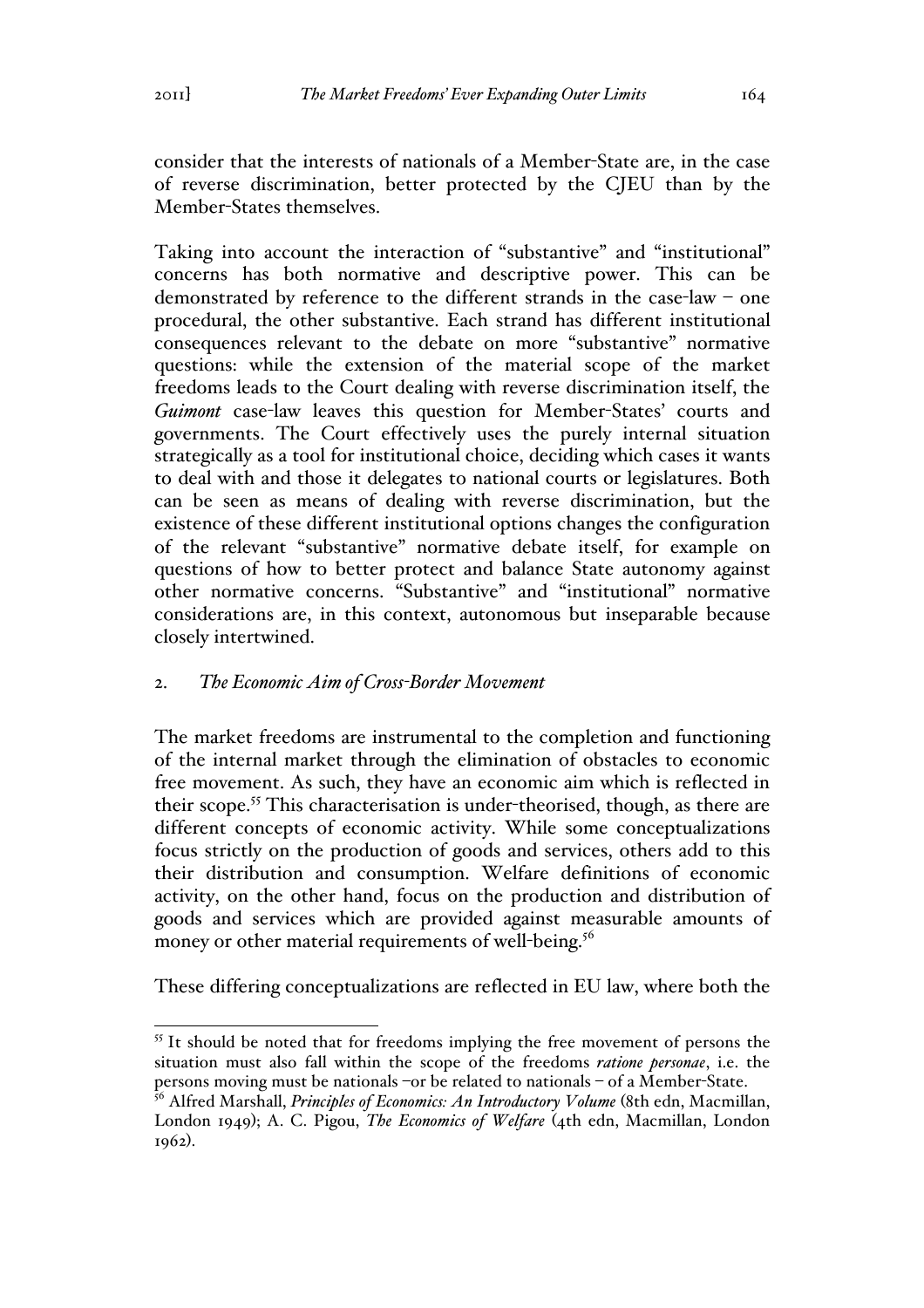consider that the interests of nationals of a Member-State are, in the case of reverse discrimination, better protected by the CJEU than by the Member-States themselves.

Taking into account the interaction of "substantive" and "institutional" concerns has both normative and descriptive power. This can be demonstrated by reference to the different strands in the case-law – one procedural, the other substantive. Each strand has different institutional consequences relevant to the debate on more "substantive" normative questions: while the extension of the material scope of the market freedoms leads to the Court dealing with reverse discrimination itself, the *Guimont* case-law leaves this question for Member-States' courts and governments. The Court effectively uses the purely internal situation strategically as a tool for institutional choice, deciding which cases it wants to deal with and those it delegates to national courts or legislatures. Both can be seen as means of dealing with reverse discrimination, but the existence of these different institutional options changes the configuration of the relevant "substantive" normative debate itself, for example on questions of how to better protect and balance State autonomy against other normative concerns. "Substantive" and "institutional" normative considerations are, in this context, autonomous but inseparable because closely intertwined.

### 2. *The Economic Aim of Cross-Border Movement*

The market freedoms are instrumental to the completion and functioning of the internal market through the elimination of obstacles to economic free movement. As such, they have an economic aim which is reflected in their scope.<sup>55</sup> This characterisation is under-theorised, though, as there are different concepts of economic activity. While some conceptualizations focus strictly on the production of goods and services, others add to this their distribution and consumption. Welfare definitions of economic activity, on the other hand, focus on the production and distribution of goods and services which are provided against measurable amounts of money or other material requirements of well-being.<sup>56</sup>

These differing conceptualizations are reflected in EU law, where both the

<sup>&</sup>lt;sup>55</sup> It should be noted that for freedoms implying the free movement of persons the situation must also fall within the scope of the freedoms *ratione personae*, i.e. the persons moving must be nationals –or be related to nationals – of a Member-State.

<sup>56</sup> Alfred Marshall, *Principles of Economics: An Introductory Volume* (8th edn, Macmillan, London 1949); A. C. Pigou, *The Economics of Welfare* (4th edn, Macmillan, London 1962).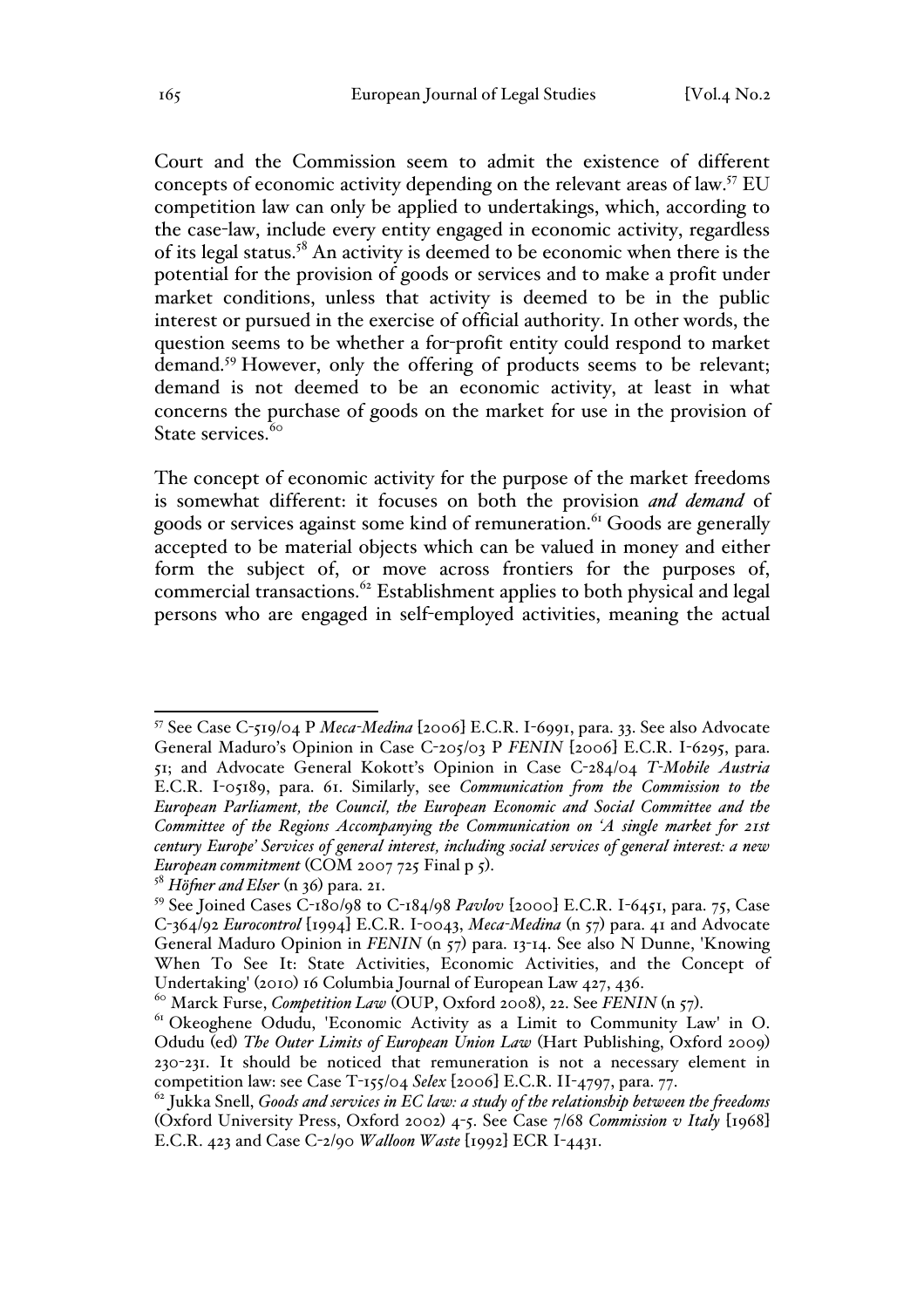Court and the Commission seem to admit the existence of different concepts of economic activity depending on the relevant areas of law.57 EU competition law can only be applied to undertakings, which, according to the case-law, include every entity engaged in economic activity, regardless of its legal status.<sup>58</sup> An activity is deemed to be economic when there is the potential for the provision of goods or services and to make a profit under market conditions, unless that activity is deemed to be in the public interest or pursued in the exercise of official authority. In other words, the question seems to be whether a for-profit entity could respond to market demand.<sup>59</sup> However, only the offering of products seems to be relevant; demand is not deemed to be an economic activity, at least in what concerns the purchase of goods on the market for use in the provision of State services.<sup>60</sup>

The concept of economic activity for the purpose of the market freedoms is somewhat different: it focuses on both the provision *and demand* of goods or services against some kind of remuneration.<sup>61</sup> Goods are generally accepted to be material objects which can be valued in money and either form the subject of, or move across frontiers for the purposes of, commercial transactions.<sup>62</sup> Establishment applies to both physical and legal persons who are engaged in self-employed activities, meaning the actual

 <sup>57</sup> See Case C-519/04 P *Meca-Medina* [2006] E.C.R. I-6991, para. 33. See also Advocate General Maduro's Opinion in Case C-205/03 P *FENIN* [2006] E.C.R. I-6295, para. 51; and Advocate General Kokott's Opinion in Case C-284/04 *T-Mobile Austria* E.C.R. I-05189, para. 61. Similarly, see *Communication from the Commission to the European Parliament, the Council, the European Economic and Social Committee and the Committee of the Regions Accompanying the Communication on 'A single market for 21st century Europe' Services of general interest, including social services of general interest: a new European commitment* (COM 2007 725 Final p 5).<br><sup>58</sup> *Höfner and Elser* (n 36) para. 21.

<sup>59</sup> See Joined Cases C-180/98 to C-184/98 *Pavlov* [2000] E.C.R. I-6451, para. 75, Case C-364/92 *Eurocontrol* [1994] E.C.R. I-0043, *Meca-Medina* (n 57) para. 41 and Advocate General Maduro Opinion in *FENIN* (n 57) para. 13-14. See also N Dunne, 'Knowing When To See It: State Activities, Economic Activities, and the Concept of Undertaking' (2010) 16 Columbia Journal of European Law 427, 436.

<sup>&</sup>lt;sup>60</sup> Marck Furse, *Competition Law* (OUP, Oxford 2008), 22. See *FENIN* (n 57).<br><sup>61</sup> Okeoghene Odudu, 'Economic Activity as a Limit to Community Law' in O. Odudu (ed) *The Outer Limits of European Union Law* (Hart Publishing, Oxford 2009) 230-231. It should be noticed that remuneration is not a necessary element in competition law: see Case T-155/04 *Selex* [2006] E.C.R. II-4797, para. 77.

<sup>62</sup> Jukka Snell, *Goods and services in EC law: a study of the relationship between the freedoms* (Oxford University Press, Oxford 2002) 4-5. See Case 7/68 *Commission v Italy* [1968] E.C.R. 423 and Case C-2/90 *Walloon Waste* [1992] ECR I-4431.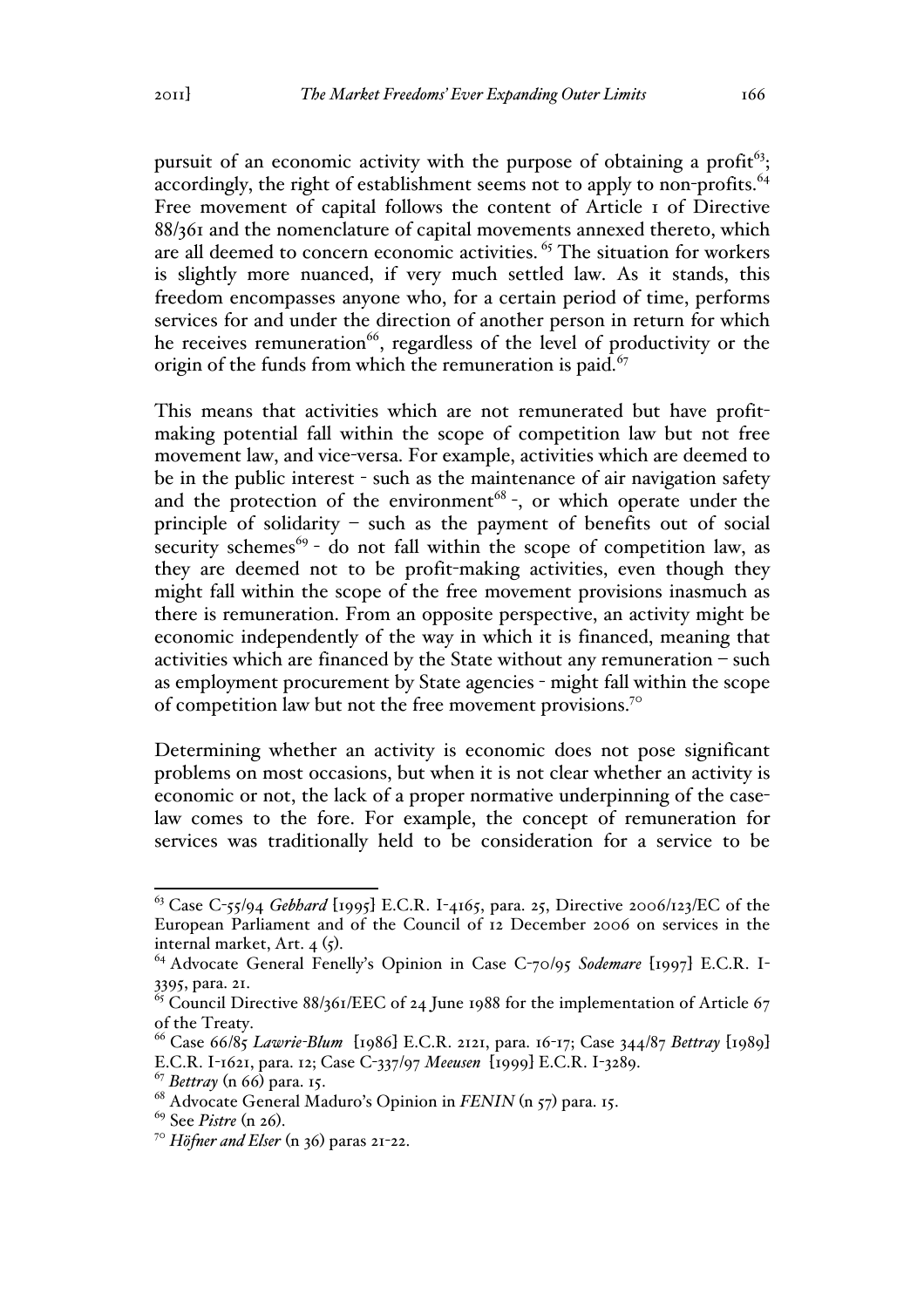pursuit of an economic activity with the purpose of obtaining a profit<sup> $63$ </sup>; accordingly, the right of establishment seems not to apply to non-profits.<sup>64</sup> Free movement of capital follows the content of Article 1 of Directive 88/361 and the nomenclature of capital movements annexed thereto, which are all deemed to concern economic activities.<sup>65</sup> The situation for workers is slightly more nuanced, if very much settled law. As it stands, this freedom encompasses anyone who, for a certain period of time, performs services for and under the direction of another person in return for which he receives remuneration<sup>66</sup>, regardless of the level of productivity or the origin of the funds from which the remuneration is paid. $67$ 

This means that activities which are not remunerated but have profitmaking potential fall within the scope of competition law but not free movement law, and vice-versa. For example, activities which are deemed to be in the public interest - such as the maintenance of air navigation safety and the protection of the environment<sup>68</sup> -, or which operate under the principle of solidarity – such as the payment of benefits out of social security schemes<sup>69</sup> - do not fall within the scope of competition law, as they are deemed not to be profit-making activities, even though they might fall within the scope of the free movement provisions inasmuch as there is remuneration. From an opposite perspective, an activity might be economic independently of the way in which it is financed, meaning that activities which are financed by the State without any remuneration – such as employment procurement by State agencies - might fall within the scope of competition law but not the free movement provisions.70

Determining whether an activity is economic does not pose significant problems on most occasions, but when it is not clear whether an activity is economic or not, the lack of a proper normative underpinning of the caselaw comes to the fore. For example, the concept of remuneration for services was traditionally held to be consideration for a service to be

 <sup>63</sup> Case C-55/94 *Gebhard* [1995] E.C.R. I-4165, para. 25, Directive 2006/123/EC of the European Parliament and of the Council of 12 December 2006 on services in the internal market, Art. 4 (5).<br><sup>64</sup> Advocate General Fenelly's Opinion in Case C-70/95 *Sodemare* [1997] E.C.R. I-

<sup>3395,</sup> para. 21.

 $\frac{65}{65}$  Council Directive 88/361/EEC of 24 June 1988 for the implementation of Article 67 of the Treaty.

<sup>66</sup> Case 66/85 *Lawrie-Blum* [1986] E.C.R. 2121, para. 16-17; Case 344/87 *Bettray* [1989] E.C.R. I-1621, para. 12; Case C-337/97 *Meeusen* [1999] E.C.R. I-3289.

<sup>67</sup> *Bettray* (n 66) para. 15.

<sup>68</sup> Advocate General Maduro's Opinion in *FENIN* (n 57) para. 15. 69 See *Pistre* (n 26). <sup>70</sup> *Höfner and Elser* (n 36) paras 21-22.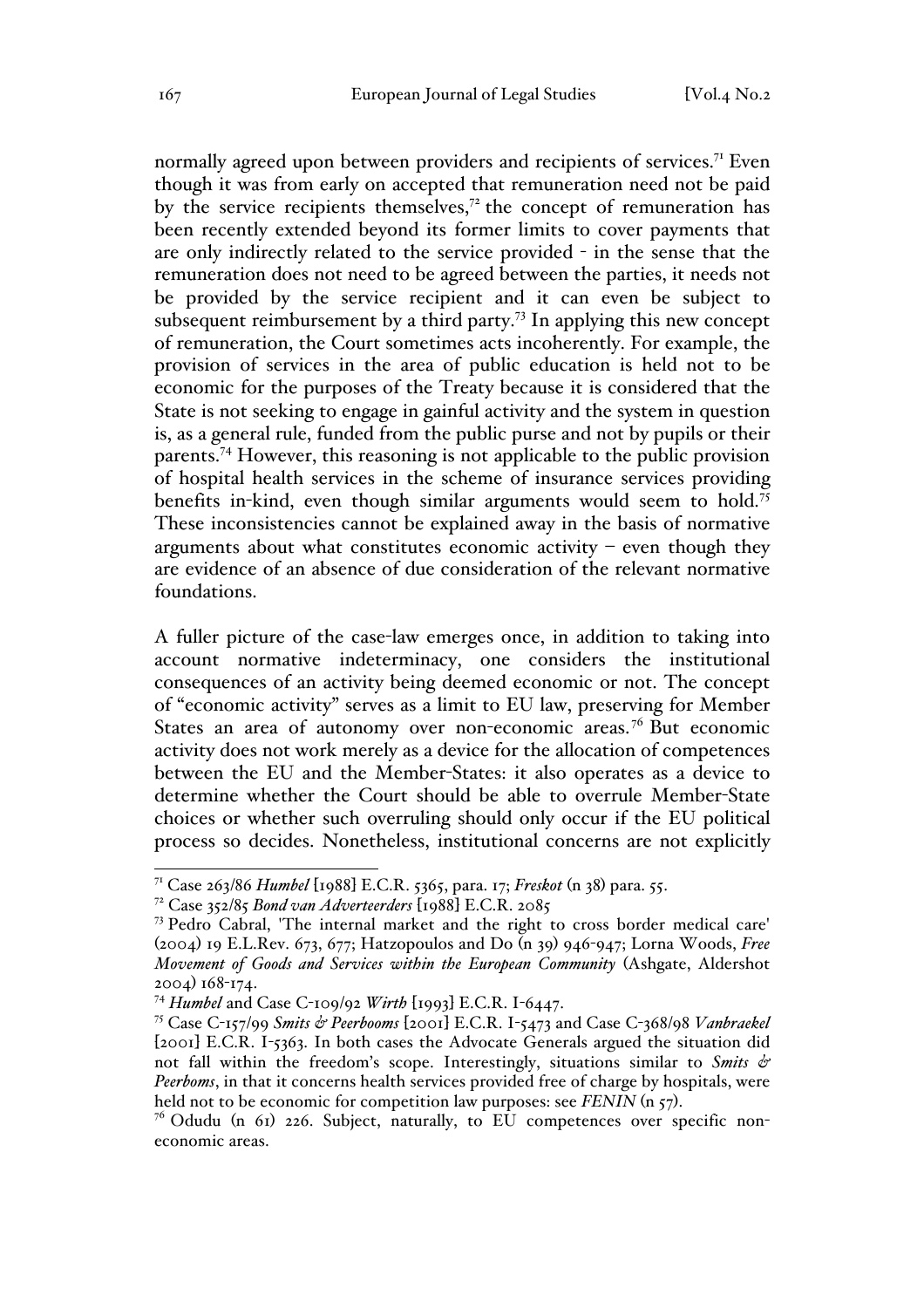normally agreed upon between providers and recipients of services.<sup>71</sup> Even though it was from early on accepted that remuneration need not be paid by the service recipients themselves, $7<sup>2</sup>$  the concept of remuneration has been recently extended beyond its former limits to cover payments that are only indirectly related to the service provided - in the sense that the remuneration does not need to be agreed between the parties, it needs not be provided by the service recipient and it can even be subject to subsequent reimbursement by a third party.<sup>73</sup> In applying this new concept of remuneration, the Court sometimes acts incoherently. For example, the provision of services in the area of public education is held not to be economic for the purposes of the Treaty because it is considered that the State is not seeking to engage in gainful activity and the system in question is, as a general rule, funded from the public purse and not by pupils or their parents.74 However, this reasoning is not applicable to the public provision of hospital health services in the scheme of insurance services providing benefits in-kind, even though similar arguments would seem to hold.<sup>75</sup> These inconsistencies cannot be explained away in the basis of normative arguments about what constitutes economic activity  $-$  even though they are evidence of an absence of due consideration of the relevant normative foundations.

A fuller picture of the case-law emerges once, in addition to taking into account normative indeterminacy, one considers the institutional consequences of an activity being deemed economic or not. The concept of "economic activity" serves as a limit to EU law, preserving for Member States an area of autonomy over non-economic areas.<sup>76</sup> But economic activity does not work merely as a device for the allocation of competences between the EU and the Member-States: it also operates as a device to determine whether the Court should be able to overrule Member-State choices or whether such overruling should only occur if the EU political process so decides. Nonetheless, institutional concerns are not explicitly

 <sup>71</sup> Case 263/86 *Humbel* [1988] E.C.R. 5365, para. 17; *Freskot* (n 38) para. 55.

<sup>72</sup> Case 352/85 *Bond van Adverteerders* [1988] E.C.R. 2085

<sup>73</sup> Pedro Cabral, 'The internal market and the right to cross border medical care' (2004) 19 E.L.Rev. 673, 677; Hatzopoulos and Do (n 39) 946-947; Lorna Woods, *Free Movement of Goods and Services within the European Community* (Ashgate, Aldershot 2004) 168-174.

<sup>74</sup> *Humbel* and Case C-109/92 *Wirth* [1993] E.C.R. I-6447.

<sup>75</sup> Case C-157/99 *Smits & Peerbooms* [2001] E.C.R. I-5473 and Case C-368/98 *Vanbraekel* [2001] E.C.R. I-5363. In both cases the Advocate Generals argued the situation did not fall within the freedom's scope. Interestingly, situations similar to *Smits & Peerboms*, in that it concerns health services provided free of charge by hospitals, were held not to be economic for competition law purposes: see *FENIN* (n 57).

<sup>&</sup>lt;sup>76</sup> Odudu (n 61) 226. Subject, naturally, to EU competences over specific noneconomic areas.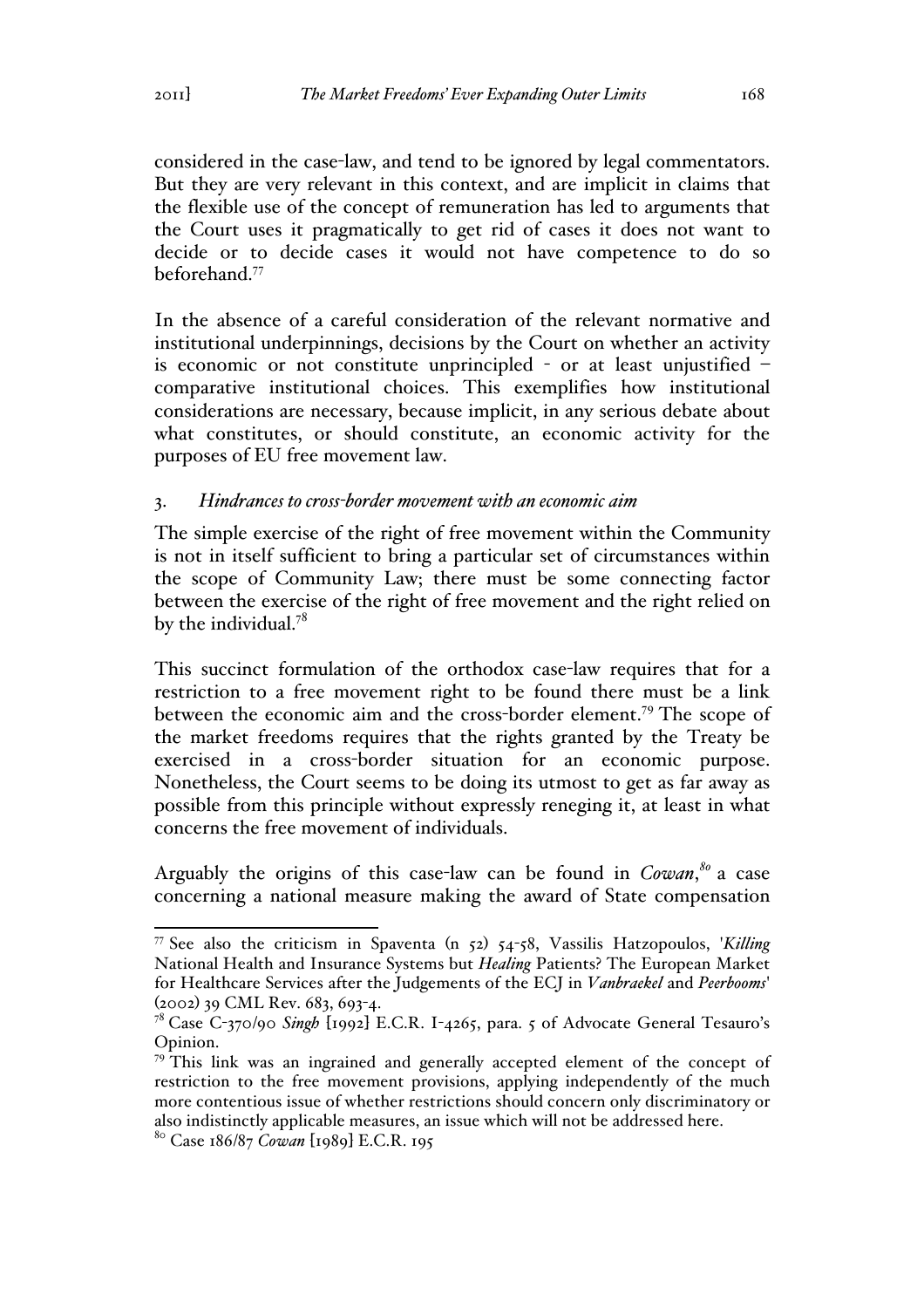considered in the case-law, and tend to be ignored by legal commentators. But they are very relevant in this context, and are implicit in claims that the flexible use of the concept of remuneration has led to arguments that the Court uses it pragmatically to get rid of cases it does not want to decide or to decide cases it would not have competence to do so beforehand.<sup>77</sup>

In the absence of a careful consideration of the relevant normative and institutional underpinnings, decisions by the Court on whether an activity is economic or not constitute unprincipled - or at least unjustified – comparative institutional choices. This exemplifies how institutional considerations are necessary, because implicit, in any serious debate about what constitutes, or should constitute, an economic activity for the purposes of EU free movement law.

# 3. *Hindrances to cross-border movement with an economic aim*

The simple exercise of the right of free movement within the Community is not in itself sufficient to bring a particular set of circumstances within the scope of Community Law; there must be some connecting factor between the exercise of the right of free movement and the right relied on by the individual.<sup>78</sup>

This succinct formulation of the orthodox case-law requires that for a restriction to a free movement right to be found there must be a link between the economic aim and the cross-border element.<sup>79</sup> The scope of the market freedoms requires that the rights granted by the Treaty be exercised in a cross-border situation for an economic purpose. Nonetheless, the Court seems to be doing its utmost to get as far away as possible from this principle without expressly reneging it, at least in what concerns the free movement of individuals.

Arguably the origins of this case-law can be found in *Cowan*, *<sup>80</sup>* a case concerning a national measure making the award of State compensation

 <sup>77</sup> See also the criticism in Spaventa (n 52) 54-58, Vassilis Hatzopoulos, '*Killing* National Health and Insurance Systems but *Healing* Patients? The European Market for Healthcare Services after the Judgements of the ECJ in *Vanbraekel* and *Peerbooms*' (2002) 39 CML Rev. 683, 693-4.

<sup>78</sup> Case C-370/90 *Singh* [1992] E.C.R. I-4265, para. 5 of Advocate General Tesauro's Opinion.

 $79$ <sup>This</sup> link was an ingrained and generally accepted element of the concept of restriction to the free movement provisions, applying independently of the much more contentious issue of whether restrictions should concern only discriminatory or also indistinctly applicable measures, an issue which will not be addressed here.

<sup>80</sup> Case 186/87 *Cowan* [1989] E.C.R. 195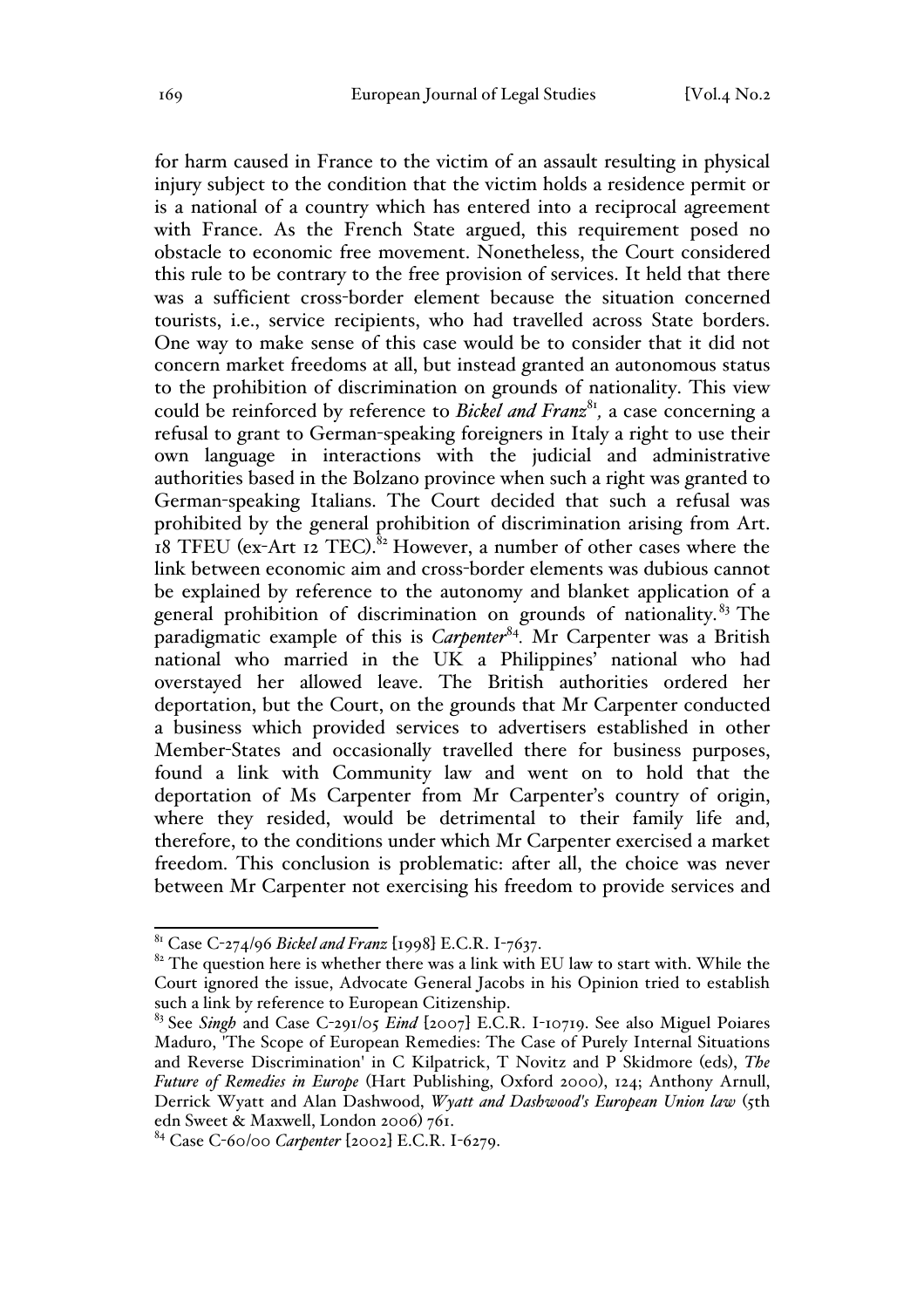for harm caused in France to the victim of an assault resulting in physical injury subject to the condition that the victim holds a residence permit or is a national of a country which has entered into a reciprocal agreement with France. As the French State argued, this requirement posed no obstacle to economic free movement. Nonetheless, the Court considered this rule to be contrary to the free provision of services. It held that there was a sufficient cross-border element because the situation concerned tourists, i.e., service recipients, who had travelled across State borders. One way to make sense of this case would be to consider that it did not concern market freedoms at all, but instead granted an autonomous status to the prohibition of discrimination on grounds of nationality. This view could be reinforced by reference to *Bickel and Franz*<sup>81</sup>, a case concerning a refusal to grant to German-speaking foreigners in Italy a right to use their own language in interactions with the judicial and administrative authorities based in the Bolzano province when such a right was granted to German-speaking Italians. The Court decided that such a refusal was prohibited by the general prohibition of discrimination arising from Art. 18 TFEU (ex-Art 12 TEC).<sup>82</sup> However, a number of other cases where the link between economic aim and cross-border elements was dubious cannot be explained by reference to the autonomy and blanket application of a general prohibition of discrimination on grounds of nationality.<sup>83</sup> The paradigmatic example of this is *Carpenter*<sup>84</sup>. Mr Carpenter was a British national who married in the UK a Philippines' national who had overstayed her allowed leave. The British authorities ordered her deportation, but the Court, on the grounds that Mr Carpenter conducted a business which provided services to advertisers established in other Member-States and occasionally travelled there for business purposes, found a link with Community law and went on to hold that the deportation of Ms Carpenter from Mr Carpenter's country of origin, where they resided, would be detrimental to their family life and, therefore, to the conditions under which Mr Carpenter exercised a market freedom. This conclusion is problematic: after all, the choice was never between Mr Carpenter not exercising his freedom to provide services and

 <sup>81</sup> Case C-274/96 *Bickel and Franz* [1998] E.C.R. I-7637.

 $82$  The question here is whether there was a link with EU law to start with. While the Court ignored the issue, Advocate General Jacobs in his Opinion tried to establish such a link by reference to European Citizenship.

<sup>83</sup> See *Singh* and Case C-291/05 *Eind* [2007] E.C.R. I-10719. See also Miguel Poiares Maduro, 'The Scope of European Remedies: The Case of Purely Internal Situations and Reverse Discrimination' in C Kilpatrick, T Novitz and P Skidmore (eds), *The Future of Remedies in Europe* (Hart Publishing, Oxford 2000), 124; Anthony Arnull, Derrick Wyatt and Alan Dashwood, *Wyatt and Dashwood's European Union law* (5th edn Sweet & Maxwell, London 2006) 761.

<sup>84</sup> Case C-60/00 *Carpenter* [2002] E.C.R. I-6279.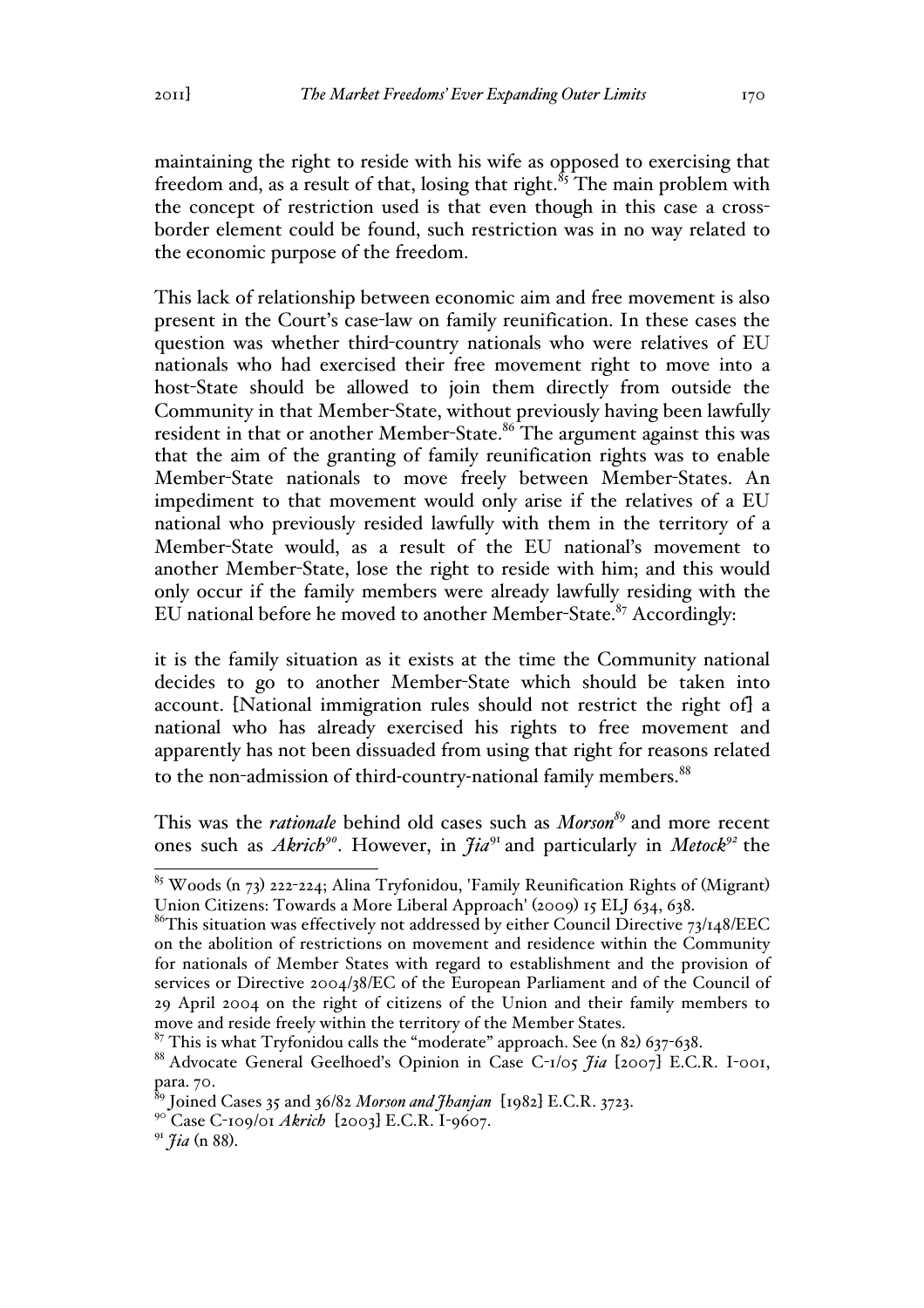maintaining the right to reside with his wife as opposed to exercising that freedom and, as a result of that, losing that right.<sup> $85$ </sup>The main problem with the concept of restriction used is that even though in this case a crossborder element could be found, such restriction was in no way related to the economic purpose of the freedom.

This lack of relationship between economic aim and free movement is also present in the Court's case-law on family reunification. In these cases the question was whether third-country nationals who were relatives of EU nationals who had exercised their free movement right to move into a host-State should be allowed to join them directly from outside the Community in that Member-State, without previously having been lawfully resident in that or another Member-State.<sup>86</sup> The argument against this was that the aim of the granting of family reunification rights was to enable Member-State nationals to move freely between Member-States. An impediment to that movement would only arise if the relatives of a EU national who previously resided lawfully with them in the territory of a Member-State would, as a result of the EU national's movement to another Member-State, lose the right to reside with him; and this would only occur if the family members were already lawfully residing with the EU national before he moved to another Member-State. $87$  Accordingly:

it is the family situation as it exists at the time the Community national decides to go to another Member-State which should be taken into account. [National immigration rules should not restrict the right of] a national who has already exercised his rights to free movement and apparently has not been dissuaded from using that right for reasons related to the non-admission of third-country-national family members.<sup>88</sup>

This was the *rationale* behind old cases such as *Morson<sup>89</sup>* and more recent ones such as *Akrich<sup>90</sup>*. However, in *Jia*<sup>91</sup> and particularly in *Metock92* the

 <sup>85</sup> Woods (n 73) 222-224; Alina Tryfonidou, 'Family Reunification Rights of (Migrant) Union Citizens: Towards a More Liberal Approach' (2009) 15 ELJ 634, 638.

<sup>&</sup>lt;sup>86</sup>This situation was effectively not addressed by either Council Directive 73/148/EEC on the abolition of restrictions on movement and residence within the Community for nationals of Member States with regard to establishment and the provision of services or Directive 2004/38/EC of the European Parliament and of the Council of 29 April 2004 on the right of citizens of the Union and their family members to move and reside freely within the territory of the Member States.

 $87$  This is what Tryfonidou calls the "moderate" approach. See (n 82) 637-638.

<sup>88</sup> Advocate General Geelhoed's Opinion in Case C-1/05 *Jia* [2007] E.C.R. I-001, para. 70.

<sup>89</sup> Joined Cases 35 and 36/82 *Morson and Jhanjan* [1982] E.C.R. 3723.

<sup>90</sup> Case C-109/01 *Akrich* [2003] E.C.R. I-9607.

<sup>91</sup> *Jia* (n 88).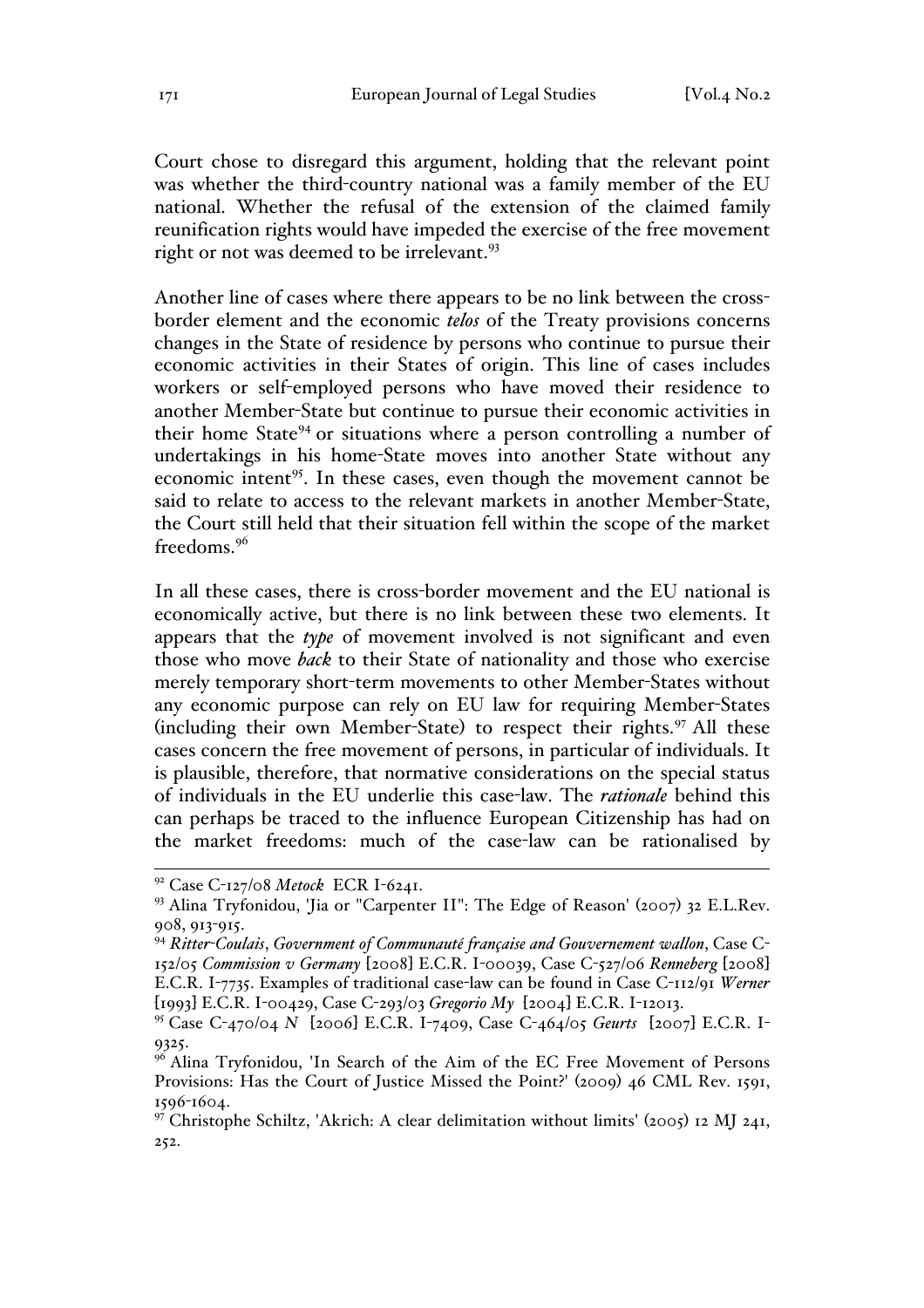Court chose to disregard this argument, holding that the relevant point was whether the third-country national was a family member of the EU national. Whether the refusal of the extension of the claimed family reunification rights would have impeded the exercise of the free movement right or not was deemed to be irrelevant.<sup>93</sup>

Another line of cases where there appears to be no link between the crossborder element and the economic *telos* of the Treaty provisions concerns changes in the State of residence by persons who continue to pursue their economic activities in their States of origin. This line of cases includes workers or self-employed persons who have moved their residence to another Member-State but continue to pursue their economic activities in their home State<sup>94</sup> or situations where a person controlling a number of undertakings in his home-State moves into another State without any economic intent<sup>95</sup>. In these cases, even though the movement cannot be said to relate to access to the relevant markets in another Member-State, the Court still held that their situation fell within the scope of the market freedoms.<sup>96</sup>

In all these cases, there is cross-border movement and the EU national is economically active, but there is no link between these two elements. It appears that the *type* of movement involved is not significant and even those who move *back* to their State of nationality and those who exercise merely temporary short-term movements to other Member-States without any economic purpose can rely on EU law for requiring Member-States (including their own Member-State) to respect their rights.<sup>97</sup> All these cases concern the free movement of persons, in particular of individuals. It is plausible, therefore, that normative considerations on the special status of individuals in the EU underlie this case-law. The *rationale* behind this can perhaps be traced to the influence European Citizenship has had on the market freedoms: much of the case-law can be rationalised by

 <sup>92</sup> Case C-127/08 *Metock* ECR I-6241.

<sup>93</sup> Alina Tryfonidou, 'Jia or "Carpenter II": The Edge of Reason' (2007) 32 E.L.Rev. 908, 913-915.

<sup>94</sup> *Ritter-Coulais*, *Government of Communauté française and Gouvernement wallon*, Case C-152/05 *Commission v Germany* [2008] E.C.R. I-00039, Case C-527/06 *Renneberg* [2008] E.C.R. I-7735. Examples of traditional case-law can be found in Case C-112/91 *Werner* [1993] E.C.R. I-00429, Case C-293/03 *Gregorio My* [2004] E.C.R. I-12013.

<sup>95</sup> Case C-470/04 *N* [2006] E.C.R. I-7409, Case C-464/05 *Geurts* [2007] E.C.R. I-9325.

<sup>&</sup>lt;sup>96</sup> Alina Tryfonidou, 'In Search of the Aim of the EC Free Movement of Persons Provisions: Has the Court of Justice Missed the Point?' (2009) 46 CML Rev. 1591, 1596-1604.

<sup>&</sup>lt;sup>97</sup> Christophe Schiltz, 'Akrich: A clear delimitation without limits' (2005) 12 MJ 241, 252.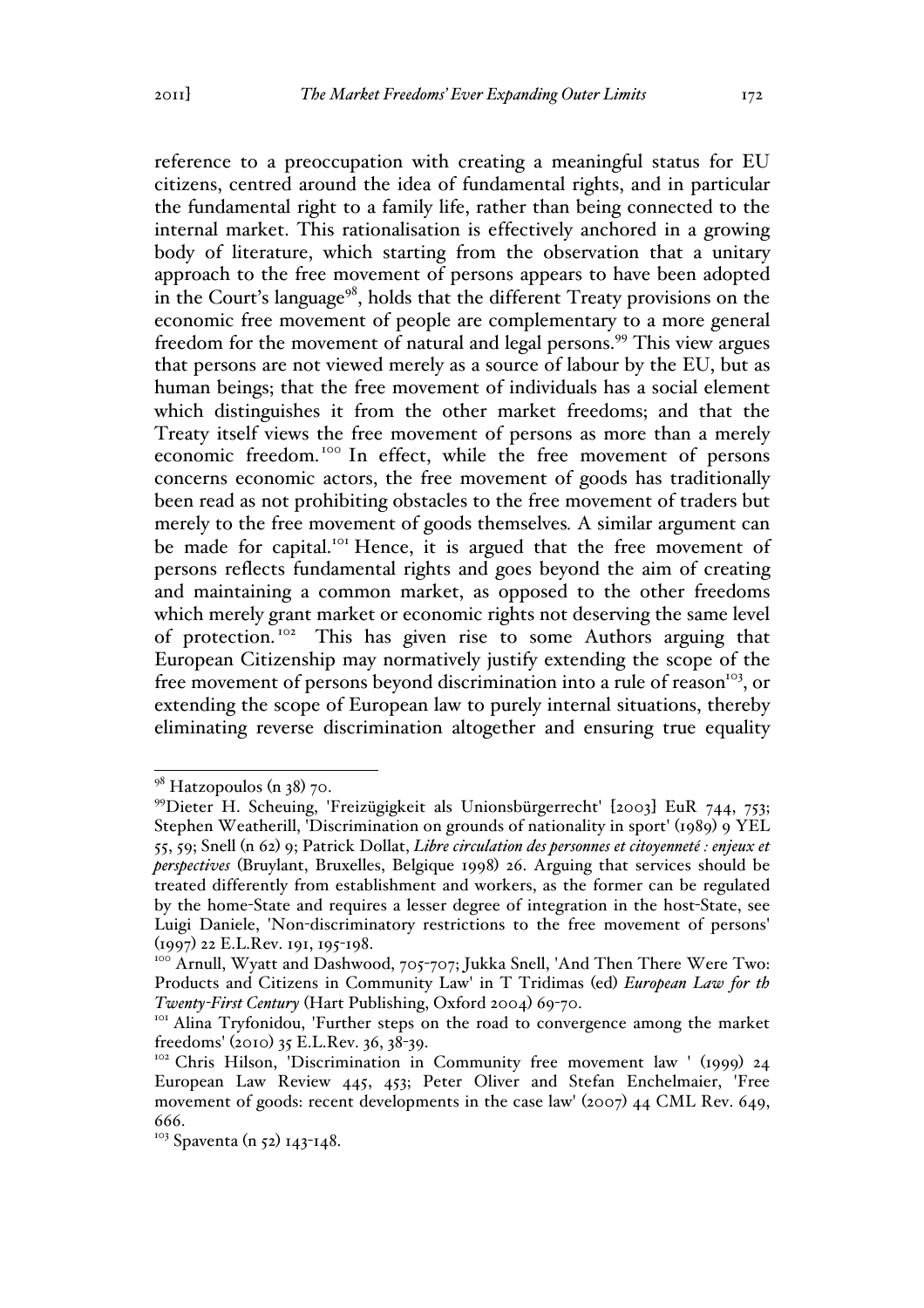reference to a preoccupation with creating a meaningful status for EU citizens, centred around the idea of fundamental rights, and in particular the fundamental right to a family life, rather than being connected to the internal market. This rationalisation is effectively anchored in a growing body of literature, which starting from the observation that a unitary approach to the free movement of persons appears to have been adopted in the Court's language<sup>98</sup>, holds that the different Treaty provisions on the economic free movement of people are complementary to a more general freedom for the movement of natural and legal persons.<sup>99</sup> This view argues that persons are not viewed merely as a source of labour by the EU, but as human beings; that the free movement of individuals has a social element which distinguishes it from the other market freedoms; and that the Treaty itself views the free movement of persons as more than a merely economic freedom.<sup>100</sup> In effect, while the free movement of persons concerns economic actors, the free movement of goods has traditionally been read as not prohibiting obstacles to the free movement of traders but merely to the free movement of goods themselves*.* A similar argument can be made for capital.<sup>101</sup> Hence, it is argued that the free movement of persons reflects fundamental rights and goes beyond the aim of creating and maintaining a common market, as opposed to the other freedoms which merely grant market or economic rights not deserving the same level of protection. 102 This has given rise to some Authors arguing that European Citizenship may normatively justify extending the scope of the free movement of persons beyond discrimination into a rule of reason<sup>103</sup>, or extending the scope of European law to purely internal situations, thereby eliminating reverse discrimination altogether and ensuring true equality

 $98$  Hatzopoulos (n 38) 70.

<sup>99</sup>Dieter H. Scheuing, 'Freizügigkeit als Unionsbürgerrecht' [2003] EuR 744, 753; Stephen Weatherill, 'Discrimination on grounds of nationality in sport' (1989) 9 YEL 55, 59; Snell (n 62) 9; Patrick Dollat, *Libre circulation des personnes et citoyenneté : enjeux et perspectives* (Bruylant, Bruxelles, Belgique 1998) 26. Arguing that services should be treated differently from establishment and workers, as the former can be regulated by the home-State and requires a lesser degree of integration in the host-State, see Luigi Daniele, 'Non-discriminatory restrictions to the free movement of persons'

<sup>(1997) 22</sup> E.L.Rev. 191, 195-198.<br><sup>100</sup> Arnull, Wyatt and Dashwood, 705-707; Jukka Snell, 'And Then There Were Two: Products and Citizens in Community Law' in T Tridimas (ed) *European Law for th* 

*Twenty-First Century* (Hart Publishing, Oxford 2004) 69-70.<br><sup>101</sup> Alina Tryfonidou, 'Further steps on the road to convergence among the market freedoms' (2010) 35 E.L.Rev. 36, 38-39.<br><sup>102</sup> Chris Hilson, 'Discrimination in Community free movement law ' (1999) 24

European Law Review 445, 453; Peter Oliver and Stefan Enchelmaier, 'Free movement of goods: recent developments in the case law' (2007) 44 CML Rev. 649, 666.

 $103$  Spaventa (n 52) 143-148.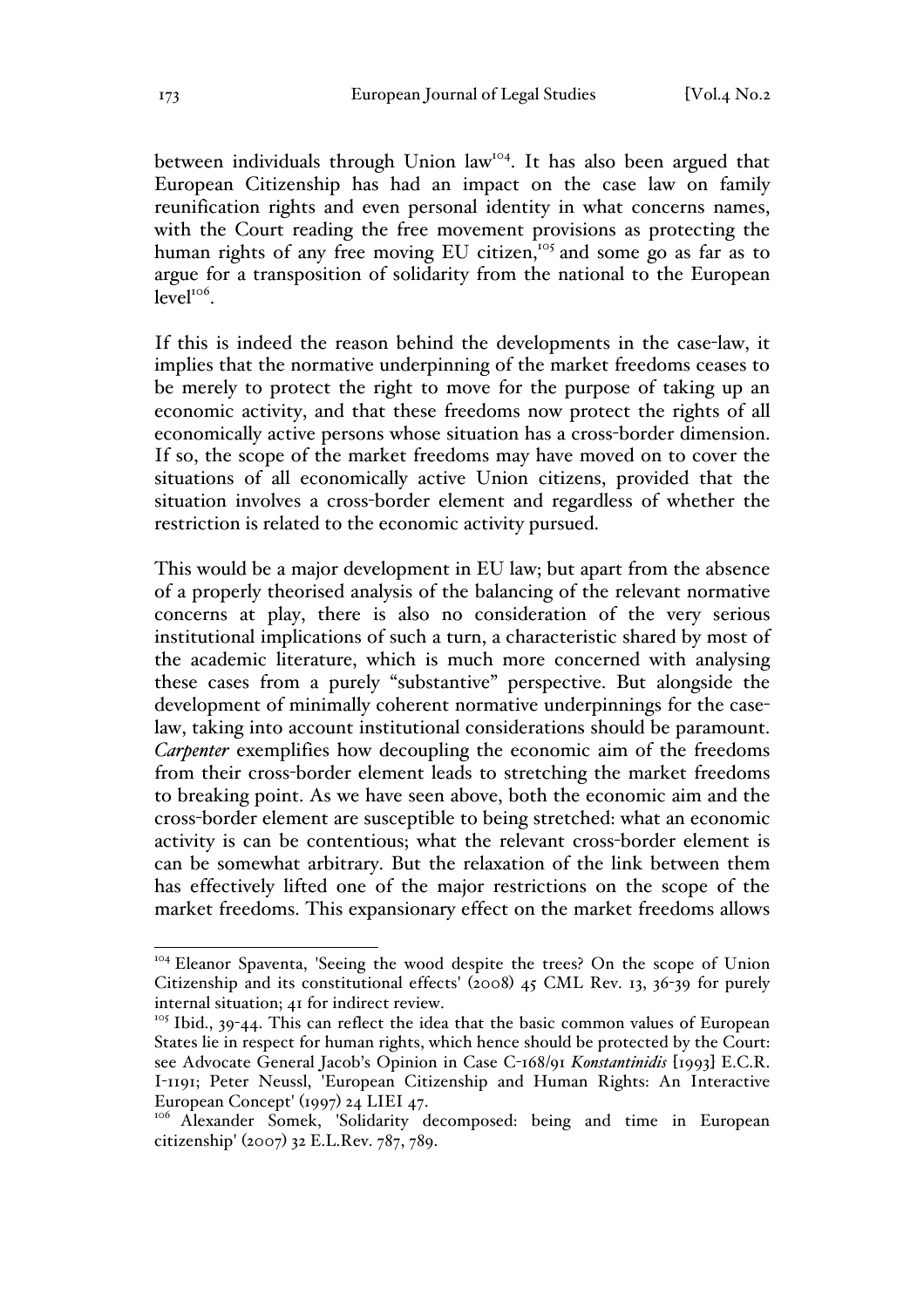between individuals through Union law<sup>104</sup>. It has also been argued that European Citizenship has had an impact on the case law on family reunification rights and even personal identity in what concerns names, with the Court reading the free movement provisions as protecting the human rights of any free moving EU citizen,<sup>105</sup> and some go as far as to argue for a transposition of solidarity from the national to the European  $level<sup>106</sup>$ .

If this is indeed the reason behind the developments in the case-law, it implies that the normative underpinning of the market freedoms ceases to be merely to protect the right to move for the purpose of taking up an economic activity, and that these freedoms now protect the rights of all economically active persons whose situation has a cross-border dimension. If so, the scope of the market freedoms may have moved on to cover the situations of all economically active Union citizens, provided that the situation involves a cross-border element and regardless of whether the restriction is related to the economic activity pursued.

This would be a major development in EU law; but apart from the absence of a properly theorised analysis of the balancing of the relevant normative concerns at play, there is also no consideration of the very serious institutional implications of such a turn, a characteristic shared by most of the academic literature, which is much more concerned with analysing these cases from a purely "substantive" perspective. But alongside the development of minimally coherent normative underpinnings for the caselaw, taking into account institutional considerations should be paramount. *Carpenter* exemplifies how decoupling the economic aim of the freedoms from their cross-border element leads to stretching the market freedoms to breaking point. As we have seen above, both the economic aim and the cross-border element are susceptible to being stretched: what an economic activity is can be contentious; what the relevant cross-border element is can be somewhat arbitrary. But the relaxation of the link between them has effectively lifted one of the major restrictions on the scope of the market freedoms. This expansionary effect on the market freedoms allows

<sup>&</sup>lt;sup>104</sup> Eleanor Spaventa, 'Seeing the wood despite the trees? On the scope of Union Citizenship and its constitutional effects' (2008) 45 CML Rev. 13, 36-39 for purely internal situation; 41 for indirect review.

 $105$  Ibid., 39-44. This can reflect the idea that the basic common values of European States lie in respect for human rights, which hence should be protected by the Court: see Advocate General Jacob's Opinion in Case C-168/91 *Konstantinidis* [1993] E.C.R. I-1191; Peter Neussl, 'European Citizenship and Human Rights: An Interactive European Concept' (1997) 24 LIEI 47.

<sup>&</sup>lt;sup>106</sup> Alexander Somek, 'Solidarity decomposed: being and time in European citizenship' (2007) 32 E.L.Rev. 787, 789.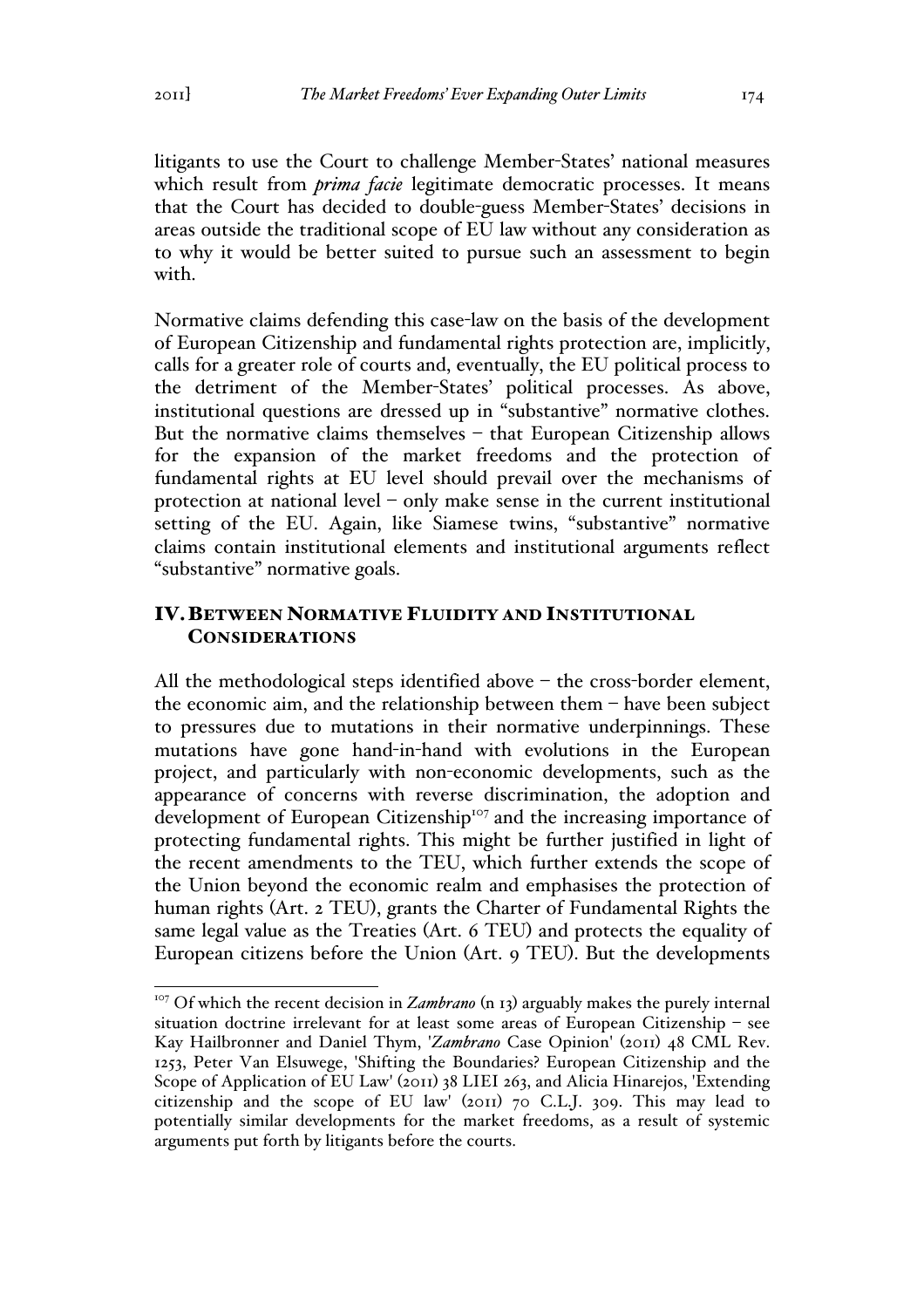litigants to use the Court to challenge Member-States' national measures which result from *prima facie* legitimate democratic processes. It means that the Court has decided to double-guess Member-States' decisions in areas outside the traditional scope of EU law without any consideration as to why it would be better suited to pursue such an assessment to begin with.

Normative claims defending this case-law on the basis of the development of European Citizenship and fundamental rights protection are, implicitly, calls for a greater role of courts and, eventually, the EU political process to the detriment of the Member-States' political processes. As above, institutional questions are dressed up in "substantive" normative clothes. But the normative claims themselves – that European Citizenship allows for the expansion of the market freedoms and the protection of fundamental rights at EU level should prevail over the mechanisms of protection at national level – only make sense in the current institutional setting of the EU. Again, like Siamese twins, "substantive" normative claims contain institutional elements and institutional arguments reflect "substantive" normative goals.

## IV.BETWEEN NORMATIVE FLUIDITY AND INSTITUTIONAL **CONSIDERATIONS**

All the methodological steps identified above – the cross-border element, the economic aim, and the relationship between them – have been subject to pressures due to mutations in their normative underpinnings. These mutations have gone hand-in-hand with evolutions in the European project, and particularly with non-economic developments, such as the appearance of concerns with reverse discrimination, the adoption and development of European Citizenship<sup>107</sup> and the increasing importance of protecting fundamental rights. This might be further justified in light of the recent amendments to the TEU, which further extends the scope of the Union beyond the economic realm and emphasises the protection of human rights (Art. 2 TEU), grants the Charter of Fundamental Rights the same legal value as the Treaties (Art. 6 TEU) and protects the equality of European citizens before the Union (Art. 9 TEU). But the developments

<sup>&</sup>lt;sup>107</sup> Of which the recent decision in *Zambrano* (n 13) arguably makes the purely internal situation doctrine irrelevant for at least some areas of European Citizenship – see Kay Hailbronner and Daniel Thym, '*Zambrano* Case Opinion' (2011) 48 CML Rev. 1253, Peter Van Elsuwege, 'Shifting the Boundaries? European Citizenship and the Scope of Application of EU Law' (2011) 38 LIEI 263, and Alicia Hinarejos, 'Extending citizenship and the scope of EU law' (2011) 70 C.L.J. 309. This may lead to potentially similar developments for the market freedoms, as a result of systemic arguments put forth by litigants before the courts.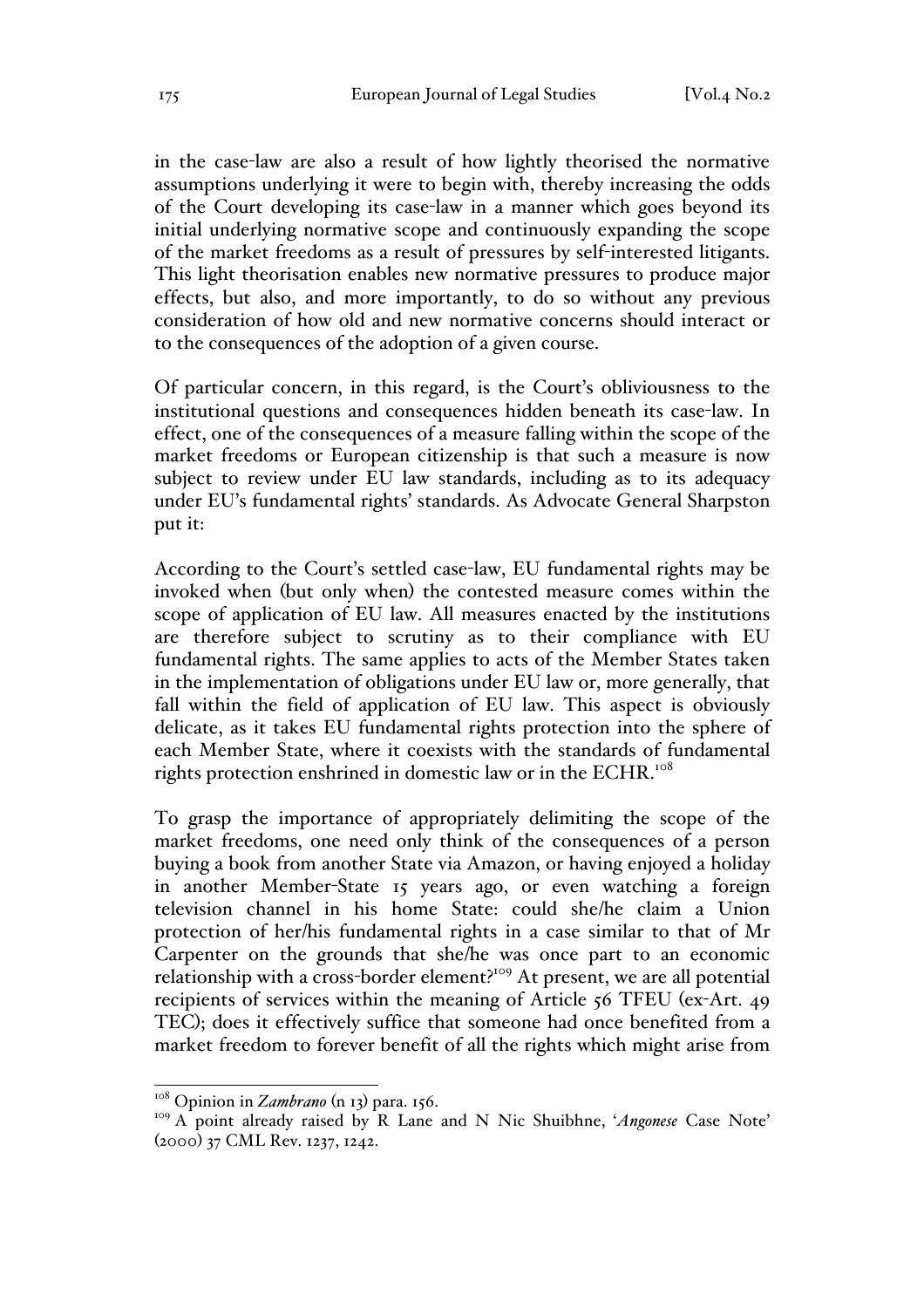in the case-law are also a result of how lightly theorised the normative assumptions underlying it were to begin with, thereby increasing the odds of the Court developing its case-law in a manner which goes beyond its initial underlying normative scope and continuously expanding the scope of the market freedoms as a result of pressures by self-interested litigants. This light theorisation enables new normative pressures to produce major effects, but also, and more importantly, to do so without any previous consideration of how old and new normative concerns should interact or to the consequences of the adoption of a given course.

Of particular concern, in this regard, is the Court's obliviousness to the institutional questions and consequences hidden beneath its case-law. In effect, one of the consequences of a measure falling within the scope of the market freedoms or European citizenship is that such a measure is now subject to review under EU law standards, including as to its adequacy under EU's fundamental rights' standards. As Advocate General Sharpston put it:

According to the Court's settled case-law, EU fundamental rights may be invoked when (but only when) the contested measure comes within the scope of application of EU law. All measures enacted by the institutions are therefore subject to scrutiny as to their compliance with EU fundamental rights. The same applies to acts of the Member States taken in the implementation of obligations under EU law or, more generally, that fall within the field of application of EU law. This aspect is obviously delicate, as it takes EU fundamental rights protection into the sphere of each Member State, where it coexists with the standards of fundamental rights protection enshrined in domestic law or in the ECHR.<sup>108</sup>

To grasp the importance of appropriately delimiting the scope of the market freedoms, one need only think of the consequences of a person buying a book from another State via Amazon, or having enjoyed a holiday in another Member-State 15 years ago, or even watching a foreign television channel in his home State: could she/he claim a Union protection of her/his fundamental rights in a case similar to that of Mr Carpenter on the grounds that she/he was once part to an economic relationship with a cross-border element?<sup>109</sup> At present, we are all potential recipients of services within the meaning of Article 56 TFEU (ex-Art. 49 TEC); does it effectively suffice that someone had once benefited from a market freedom to forever benefit of all the rights which might arise from

<sup>&</sup>lt;sup>108</sup> Opinion in *Zambrano* (n 13) para. 156.

<sup>109</sup> A point already raised by R Lane and N Nic Shuibhne, '*Angonese* Case Note' (2000) 37 CML Rev. 1237, 1242.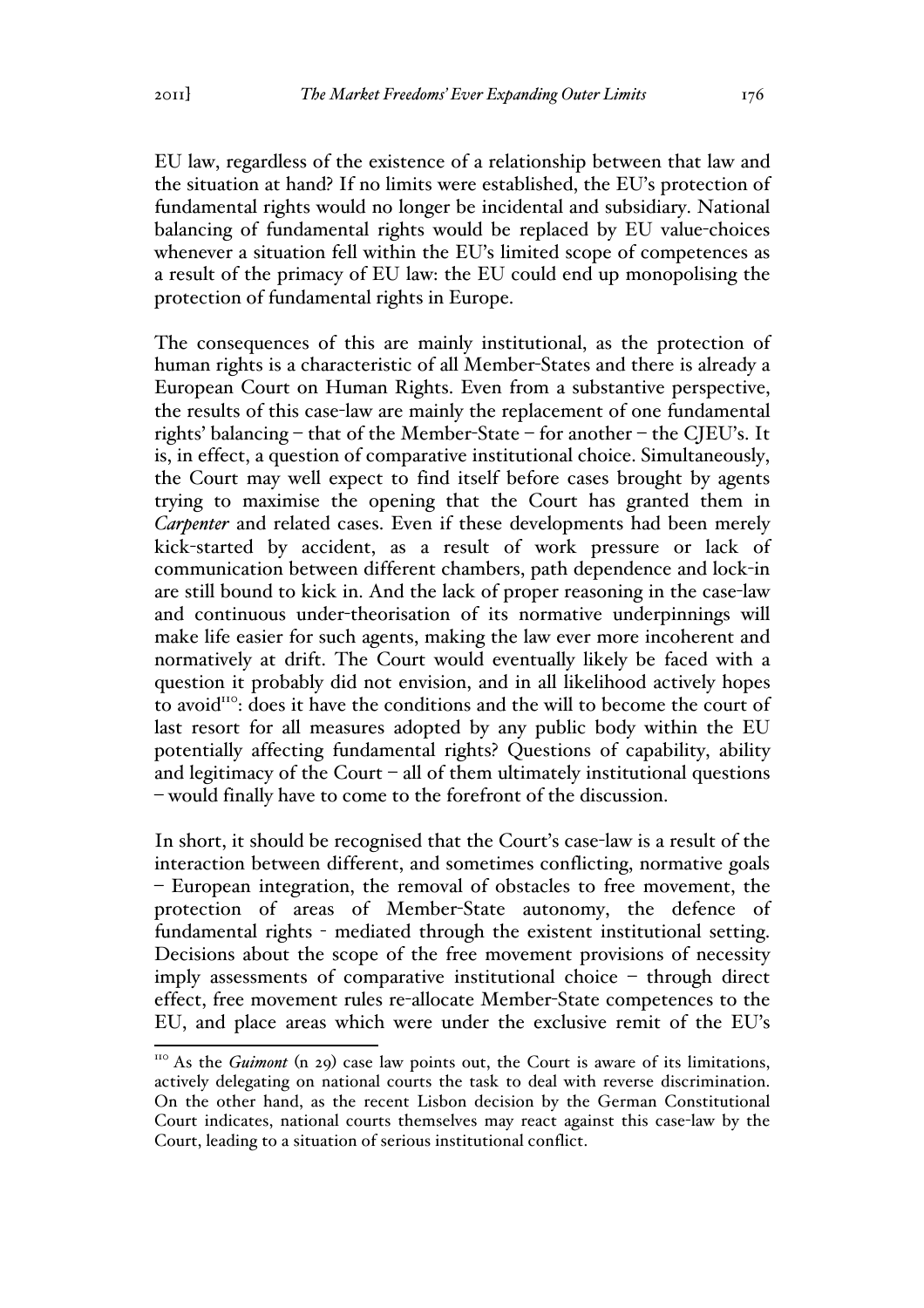EU law, regardless of the existence of a relationship between that law and the situation at hand? If no limits were established, the EU's protection of fundamental rights would no longer be incidental and subsidiary. National balancing of fundamental rights would be replaced by EU value-choices whenever a situation fell within the EU's limited scope of competences as a result of the primacy of EU law: the EU could end up monopolising the protection of fundamental rights in Europe.

The consequences of this are mainly institutional, as the protection of human rights is a characteristic of all Member-States and there is already a European Court on Human Rights. Even from a substantive perspective, the results of this case-law are mainly the replacement of one fundamental rights' balancing – that of the Member-State – for another – the CJEU's. It is, in effect, a question of comparative institutional choice. Simultaneously, the Court may well expect to find itself before cases brought by agents trying to maximise the opening that the Court has granted them in *Carpenter* and related cases. Even if these developments had been merely kick-started by accident, as a result of work pressure or lack of communication between different chambers, path dependence and lock-in are still bound to kick in. And the lack of proper reasoning in the case-law and continuous under-theorisation of its normative underpinnings will make life easier for such agents, making the law ever more incoherent and normatively at drift. The Court would eventually likely be faced with a question it probably did not envision, and in all likelihood actively hopes to avoid<sup>110</sup>: does it have the conditions and the will to become the court of last resort for all measures adopted by any public body within the EU potentially affecting fundamental rights? Questions of capability, ability and legitimacy of the Court – all of them ultimately institutional questions – would finally have to come to the forefront of the discussion.

In short, it should be recognised that the Court's case-law is a result of the interaction between different, and sometimes conflicting, normative goals – European integration, the removal of obstacles to free movement, the protection of areas of Member-State autonomy, the defence of fundamental rights - mediated through the existent institutional setting. Decisions about the scope of the free movement provisions of necessity imply assessments of comparative institutional choice – through direct effect, free movement rules re-allocate Member-State competences to the EU, and place areas which were under the exclusive remit of the EU's

<sup>&</sup>lt;sup>110</sup> As the *Guimont* (n 29) case law points out, the Court is aware of its limitations, actively delegating on national courts the task to deal with reverse discrimination. On the other hand, as the recent Lisbon decision by the German Constitutional Court indicates, national courts themselves may react against this case-law by the Court, leading to a situation of serious institutional conflict.